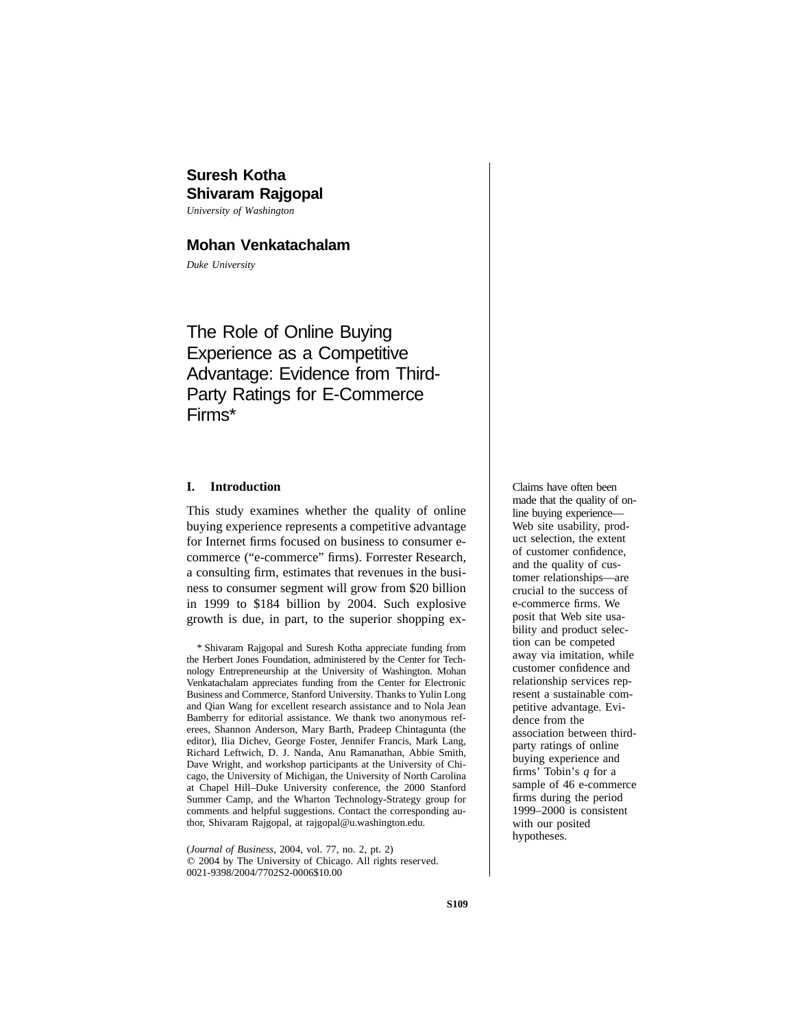# **Suresh Kotha Shivaram Rajgopal**

*University of Washington*

# **Mohan Venkatachalam**

*Duke University*

The Role of Online Buying Experience as a Competitive Advantage: Evidence from Third-Party Ratings for E-Commerce Firms\*

# **I. Introduction**

This study examines whether the quality of online buying experience represents a competitive advantage for Internet firms focused on business to consumer ecommerce ("e-commerce" firms). Forrester Research, a consulting firm, estimates that revenues in the business to consumer segment will grow from \$20 billion in 1999 to \$184 billion by 2004. Such explosive growth is due, in part, to the superior shopping exClaims have often been made that the quality of online buying experience— Web site usability, product selection, the extent of customer confidence, and the quality of customer relationships—are crucial to the success of e-commerce firms. We posit that Web site usability and product selection can be competed away via imitation, while customer confidence and relationship services represent a sustainable competitive advantage. Evidence from the association between thirdparty ratings of online buying experience and firms' Tobin's *q* for a sample of 46 e-commerce firms during the period 1999–2000 is consistent with our posited hypotheses.

<sup>\*</sup> Shivaram Rajgopal and Suresh Kotha appreciate funding from the Herbert Jones Foundation, administered by the Center for Technology Entrepreneurship at the University of Washington. Mohan Venkatachalam appreciates funding from the Center for Electronic Business and Commerce, Stanford University. Thanks to Yulin Long and Qian Wang for excellent research assistance and to Nola Jean Bamberry for editorial assistance. We thank two anonymous referees, Shannon Anderson, Mary Barth, Pradeep Chintagunta (the editor), Ilia Dichev, George Foster, Jennifer Francis, Mark Lang, Richard Leftwich, D. J. Nanda, Anu Ramanathan, Abbie Smith, Dave Wright, and workshop participants at the University of Chicago, the University of Michigan, the University of North Carolina at Chapel Hill–Duke University conference, the 2000 Stanford Summer Camp, and the Wharton Technology-Strategy group for comments and helpful suggestions. Contact the corresponding author, Shivaram Rajgopal, at rajgopal@u.washington.edu.

<sup>(</sup>*Journal of Business,* 2004, vol. 77, no. 2, pt. 2) 2004 by The University of Chicago. All rights reserved. 0021-9398/2004/7702S2-0006\$10.00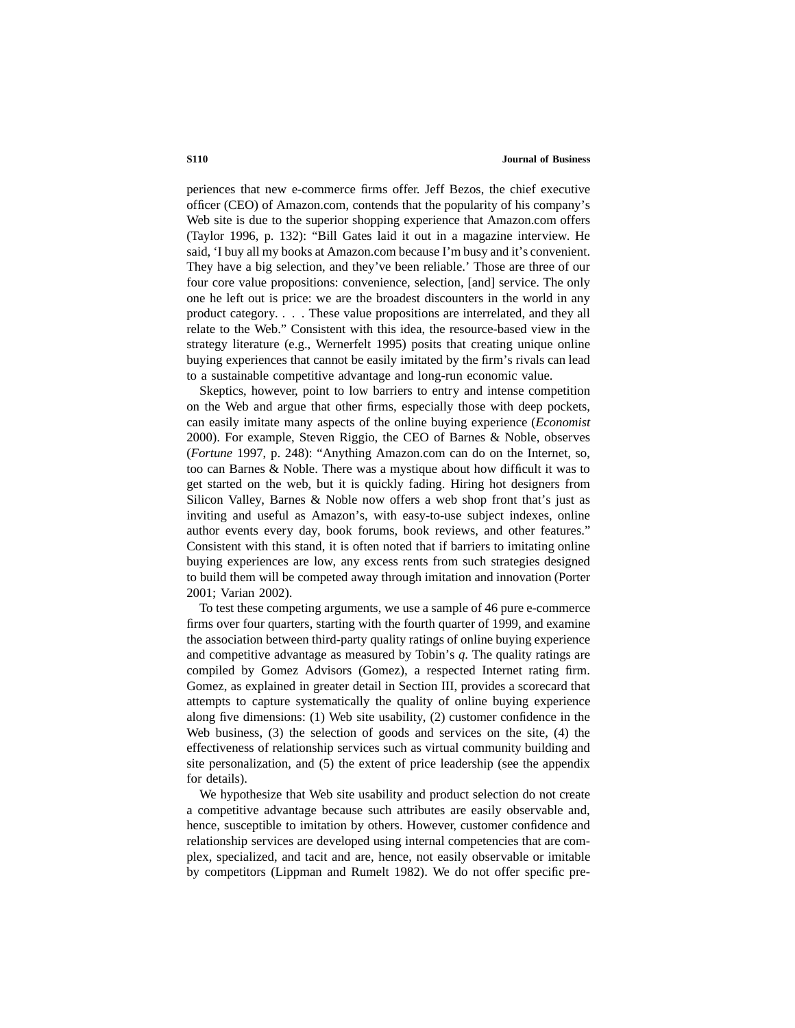#### **S110 Journal of Business**

periences that new e-commerce firms offer. Jeff Bezos, the chief executive officer (CEO) of Amazon.com, contends that the popularity of his company's Web site is due to the superior shopping experience that Amazon.com offers (Taylor 1996, p. 132): "Bill Gates laid it out in a magazine interview. He said, 'I buy all my books at Amazon.com because I'm busy and it's convenient. They have a big selection, and they've been reliable.' Those are three of our four core value propositions: convenience, selection, [and] service. The only one he left out is price: we are the broadest discounters in the world in any product category. . . . These value propositions are interrelated, and they all relate to the Web." Consistent with this idea, the resource-based view in the strategy literature (e.g., Wernerfelt 1995) posits that creating unique online buying experiences that cannot be easily imitated by the firm's rivals can lead to a sustainable competitive advantage and long-run economic value.

Skeptics, however, point to low barriers to entry and intense competition on the Web and argue that other firms, especially those with deep pockets, can easily imitate many aspects of the online buying experience (*Economist* 2000). For example, Steven Riggio, the CEO of Barnes & Noble, observes (*Fortune* 1997, p. 248): "Anything Amazon.com can do on the Internet, so, too can Barnes & Noble. There was a mystique about how difficult it was to get started on the web, but it is quickly fading. Hiring hot designers from Silicon Valley, Barnes & Noble now offers a web shop front that's just as inviting and useful as Amazon's, with easy-to-use subject indexes, online author events every day, book forums, book reviews, and other features." Consistent with this stand, it is often noted that if barriers to imitating online buying experiences are low, any excess rents from such strategies designed to build them will be competed away through imitation and innovation (Porter 2001; Varian 2002).

To test these competing arguments, we use a sample of 46 pure e-commerce firms over four quarters, starting with the fourth quarter of 1999, and examine the association between third-party quality ratings of online buying experience and competitive advantage as measured by Tobin's *q*. The quality ratings are compiled by Gomez Advisors (Gomez), a respected Internet rating firm. Gomez, as explained in greater detail in Section III, provides a scorecard that attempts to capture systematically the quality of online buying experience along five dimensions: (1) Web site usability, (2) customer confidence in the Web business, (3) the selection of goods and services on the site, (4) the effectiveness of relationship services such as virtual community building and site personalization, and (5) the extent of price leadership (see the appendix for details).

We hypothesize that Web site usability and product selection do not create a competitive advantage because such attributes are easily observable and, hence, susceptible to imitation by others. However, customer confidence and relationship services are developed using internal competencies that are complex, specialized, and tacit and are, hence, not easily observable or imitable by competitors (Lippman and Rumelt 1982). We do not offer specific pre-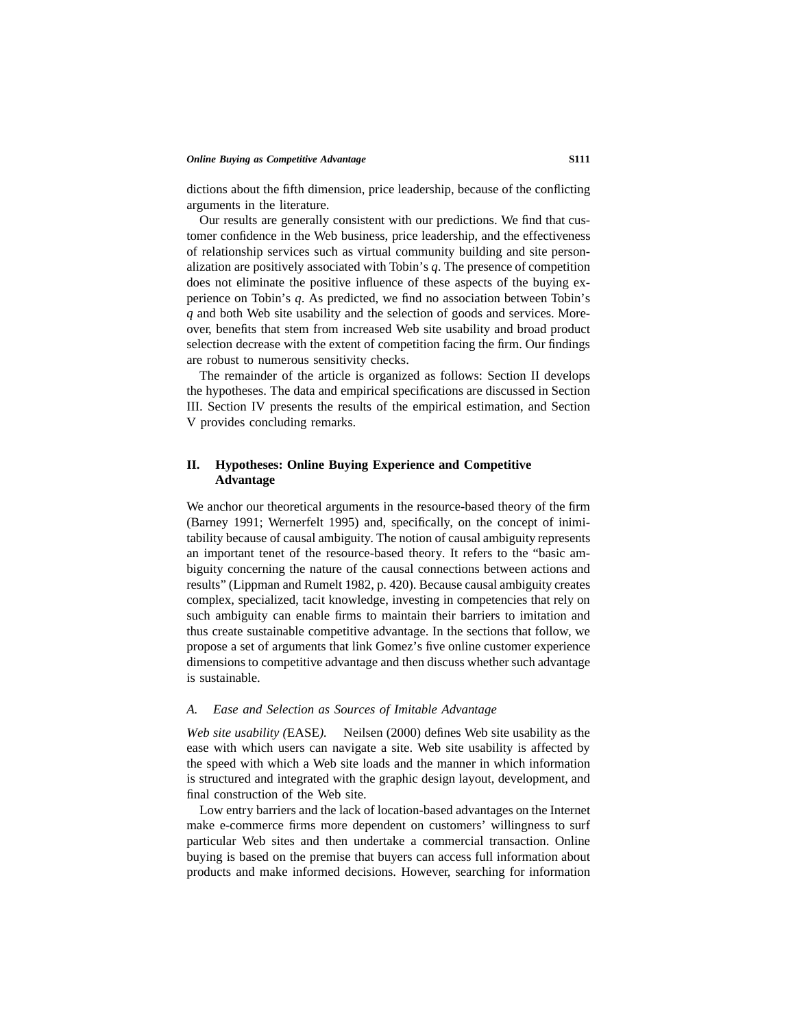dictions about the fifth dimension, price leadership, because of the conflicting arguments in the literature.

Our results are generally consistent with our predictions. We find that customer confidence in the Web business, price leadership, and the effectiveness of relationship services such as virtual community building and site personalization are positively associated with Tobin's *q*. The presence of competition does not eliminate the positive influence of these aspects of the buying experience on Tobin's *q*. As predicted, we find no association between Tobin's *q* and both Web site usability and the selection of goods and services. Moreover, benefits that stem from increased Web site usability and broad product selection decrease with the extent of competition facing the firm. Our findings are robust to numerous sensitivity checks.

The remainder of the article is organized as follows: Section II develops the hypotheses. The data and empirical specifications are discussed in Section III. Section IV presents the results of the empirical estimation, and Section V provides concluding remarks.

# **II. Hypotheses: Online Buying Experience and Competitive Advantage**

We anchor our theoretical arguments in the resource-based theory of the firm (Barney 1991; Wernerfelt 1995) and, specifically, on the concept of inimitability because of causal ambiguity. The notion of causal ambiguity represents an important tenet of the resource-based theory. It refers to the "basic ambiguity concerning the nature of the causal connections between actions and results" (Lippman and Rumelt 1982, p. 420). Because causal ambiguity creates complex, specialized, tacit knowledge, investing in competencies that rely on such ambiguity can enable firms to maintain their barriers to imitation and thus create sustainable competitive advantage. In the sections that follow, we propose a set of arguments that link Gomez's five online customer experience dimensions to competitive advantage and then discuss whether such advantage is sustainable.

### *A. Ease and Selection as Sources of Imitable Advantage*

*Web site usability (*EASE*).* Neilsen (2000) defines Web site usability as the ease with which users can navigate a site. Web site usability is affected by the speed with which a Web site loads and the manner in which information is structured and integrated with the graphic design layout, development, and final construction of the Web site.

Low entry barriers and the lack of location-based advantages on the Internet make e-commerce firms more dependent on customers' willingness to surf particular Web sites and then undertake a commercial transaction. Online buying is based on the premise that buyers can access full information about products and make informed decisions. However, searching for information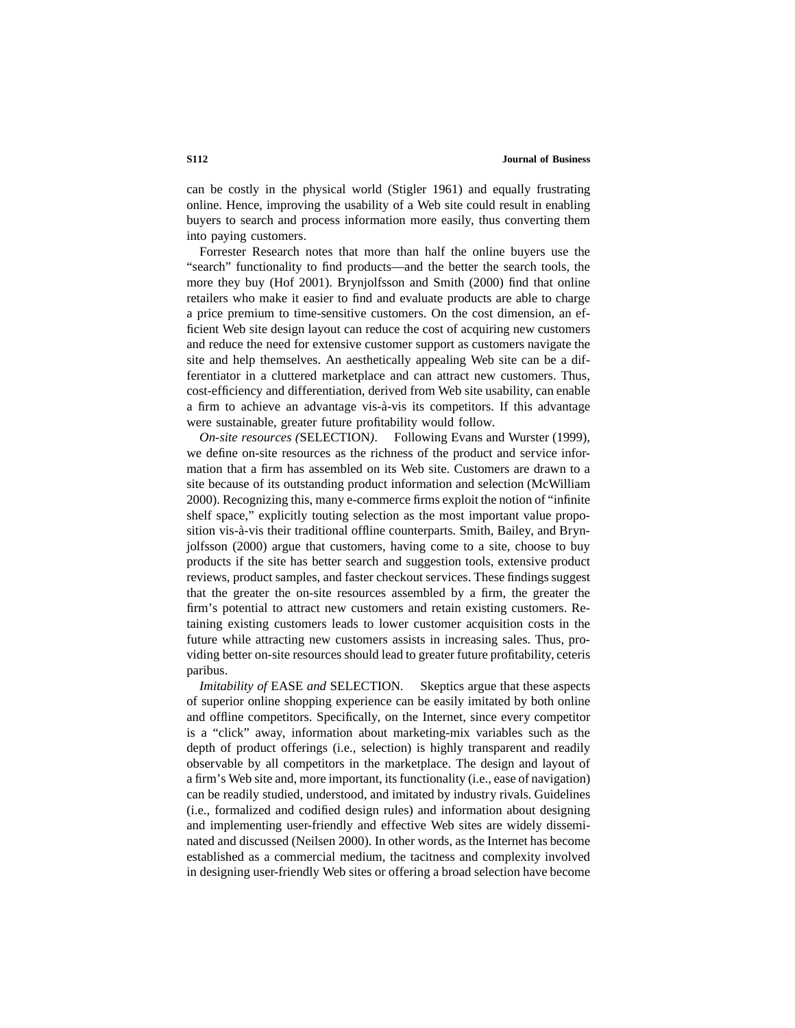can be costly in the physical world (Stigler 1961) and equally frustrating online. Hence, improving the usability of a Web site could result in enabling buyers to search and process information more easily, thus converting them into paying customers.

Forrester Research notes that more than half the online buyers use the "search" functionality to find products—and the better the search tools, the more they buy (Hof 2001). Brynjolfsson and Smith (2000) find that online retailers who make it easier to find and evaluate products are able to charge a price premium to time-sensitive customers. On the cost dimension, an efficient Web site design layout can reduce the cost of acquiring new customers and reduce the need for extensive customer support as customers navigate the site and help themselves. An aesthetically appealing Web site can be a differentiator in a cluttered marketplace and can attract new customers. Thus, cost-efficiency and differentiation, derived from Web site usability, can enable a firm to achieve an advantage vis-a`-vis its competitors. If this advantage were sustainable, greater future profitability would follow.

*On-site resources (*SELECTION*)*. Following Evans and Wurster (1999), we define on-site resources as the richness of the product and service information that a firm has assembled on its Web site. Customers are drawn to a site because of its outstanding product information and selection (McWilliam 2000). Recognizing this, many e-commerce firms exploit the notion of "infinite shelf space," explicitly touting selection as the most important value proposition vis-à-vis their traditional offline counterparts. Smith, Bailey, and Brynjolfsson (2000) argue that customers, having come to a site, choose to buy products if the site has better search and suggestion tools, extensive product reviews, product samples, and faster checkout services. These findings suggest that the greater the on-site resources assembled by a firm, the greater the firm's potential to attract new customers and retain existing customers. Retaining existing customers leads to lower customer acquisition costs in the future while attracting new customers assists in increasing sales. Thus, providing better on-site resources should lead to greater future profitability, ceteris paribus.

*Imitability of* EASE *and* SELECTION*.* Skeptics argue that these aspects of superior online shopping experience can be easily imitated by both online and offline competitors. Specifically, on the Internet, since every competitor is a "click" away, information about marketing-mix variables such as the depth of product offerings (i.e., selection) is highly transparent and readily observable by all competitors in the marketplace. The design and layout of a firm's Web site and, more important, its functionality (i.e., ease of navigation) can be readily studied, understood, and imitated by industry rivals. Guidelines (i.e., formalized and codified design rules) and information about designing and implementing user-friendly and effective Web sites are widely disseminated and discussed (Neilsen 2000). In other words, as the Internet has become established as a commercial medium, the tacitness and complexity involved in designing user-friendly Web sites or offering a broad selection have become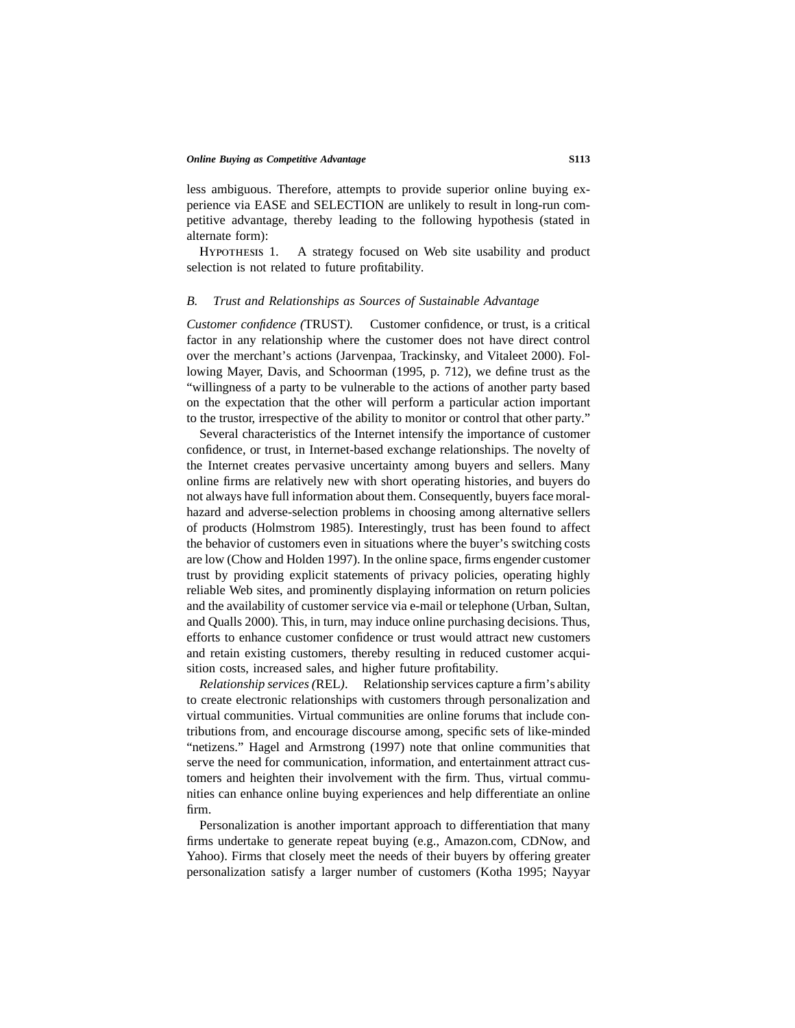less ambiguous. Therefore, attempts to provide superior online buying experience via EASE and SELECTION are unlikely to result in long-run competitive advantage, thereby leading to the following hypothesis (stated in alternate form):

Hypothesis 1. A strategy focused on Web site usability and product selection is not related to future profitability.

#### *B. Trust and Relationships as Sources of Sustainable Advantage*

*Customer confidence (*TRUST*).* Customer confidence, or trust, is a critical factor in any relationship where the customer does not have direct control over the merchant's actions (Jarvenpaa, Trackinsky, and Vitaleet 2000). Following Mayer, Davis, and Schoorman (1995, p. 712), we define trust as the "willingness of a party to be vulnerable to the actions of another party based on the expectation that the other will perform a particular action important to the trustor, irrespective of the ability to monitor or control that other party."

Several characteristics of the Internet intensify the importance of customer confidence, or trust, in Internet-based exchange relationships. The novelty of the Internet creates pervasive uncertainty among buyers and sellers. Many online firms are relatively new with short operating histories, and buyers do not always have full information about them. Consequently, buyers face moralhazard and adverse-selection problems in choosing among alternative sellers of products (Holmstrom 1985). Interestingly, trust has been found to affect the behavior of customers even in situations where the buyer's switching costs are low (Chow and Holden 1997). In the online space, firms engender customer trust by providing explicit statements of privacy policies, operating highly reliable Web sites, and prominently displaying information on return policies and the availability of customer service via e-mail or telephone (Urban, Sultan, and Qualls 2000). This, in turn, may induce online purchasing decisions. Thus, efforts to enhance customer confidence or trust would attract new customers and retain existing customers, thereby resulting in reduced customer acquisition costs, increased sales, and higher future profitability.

*Relationship services (*REL*)*. Relationship services capture a firm's ability to create electronic relationships with customers through personalization and virtual communities. Virtual communities are online forums that include contributions from, and encourage discourse among, specific sets of like-minded "netizens." Hagel and Armstrong (1997) note that online communities that serve the need for communication, information, and entertainment attract customers and heighten their involvement with the firm. Thus, virtual communities can enhance online buying experiences and help differentiate an online firm.

Personalization is another important approach to differentiation that many firms undertake to generate repeat buying (e.g., Amazon.com, CDNow, and Yahoo). Firms that closely meet the needs of their buyers by offering greater personalization satisfy a larger number of customers (Kotha 1995; Nayyar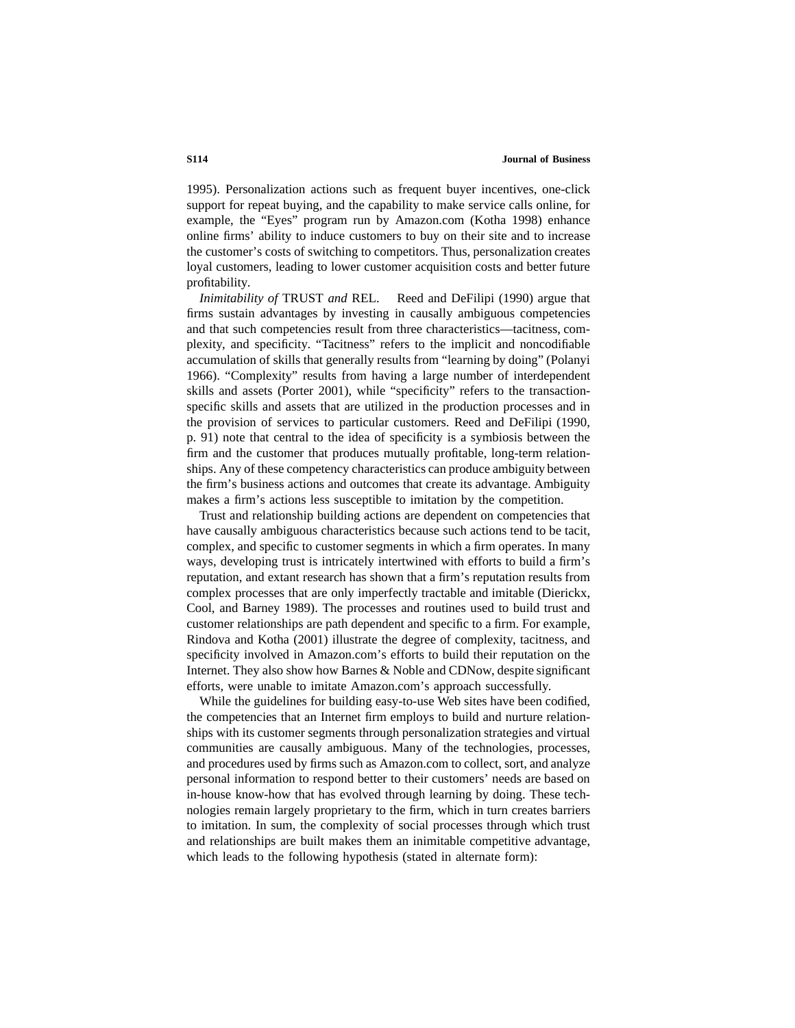1995). Personalization actions such as frequent buyer incentives, one-click support for repeat buying, and the capability to make service calls online, for example, the "Eyes" program run by Amazon.com (Kotha 1998) enhance online firms' ability to induce customers to buy on their site and to increase the customer's costs of switching to competitors. Thus, personalization creates loyal customers, leading to lower customer acquisition costs and better future profitability.

*Inimitability of* TRUST *and* REL. Reed and DeFilipi (1990) argue that firms sustain advantages by investing in causally ambiguous competencies and that such competencies result from three characteristics—tacitness, complexity, and specificity. "Tacitness" refers to the implicit and noncodifiable accumulation of skills that generally results from "learning by doing" (Polanyi 1966). "Complexity" results from having a large number of interdependent skills and assets (Porter 2001), while "specificity" refers to the transactionspecific skills and assets that are utilized in the production processes and in the provision of services to particular customers. Reed and DeFilipi (1990, p. 91) note that central to the idea of specificity is a symbiosis between the firm and the customer that produces mutually profitable, long-term relationships. Any of these competency characteristics can produce ambiguity between the firm's business actions and outcomes that create its advantage. Ambiguity makes a firm's actions less susceptible to imitation by the competition.

Trust and relationship building actions are dependent on competencies that have causally ambiguous characteristics because such actions tend to be tacit, complex, and specific to customer segments in which a firm operates. In many ways, developing trust is intricately intertwined with efforts to build a firm's reputation, and extant research has shown that a firm's reputation results from complex processes that are only imperfectly tractable and imitable (Dierickx, Cool, and Barney 1989). The processes and routines used to build trust and customer relationships are path dependent and specific to a firm. For example, Rindova and Kotha (2001) illustrate the degree of complexity, tacitness, and specificity involved in Amazon.com's efforts to build their reputation on the Internet. They also show how Barnes & Noble and CDNow, despite significant efforts, were unable to imitate Amazon.com's approach successfully.

While the guidelines for building easy-to-use Web sites have been codified, the competencies that an Internet firm employs to build and nurture relationships with its customer segments through personalization strategies and virtual communities are causally ambiguous. Many of the technologies, processes, and procedures used by firms such as Amazon.com to collect, sort, and analyze personal information to respond better to their customers' needs are based on in-house know-how that has evolved through learning by doing. These technologies remain largely proprietary to the firm, which in turn creates barriers to imitation. In sum, the complexity of social processes through which trust and relationships are built makes them an inimitable competitive advantage, which leads to the following hypothesis (stated in alternate form):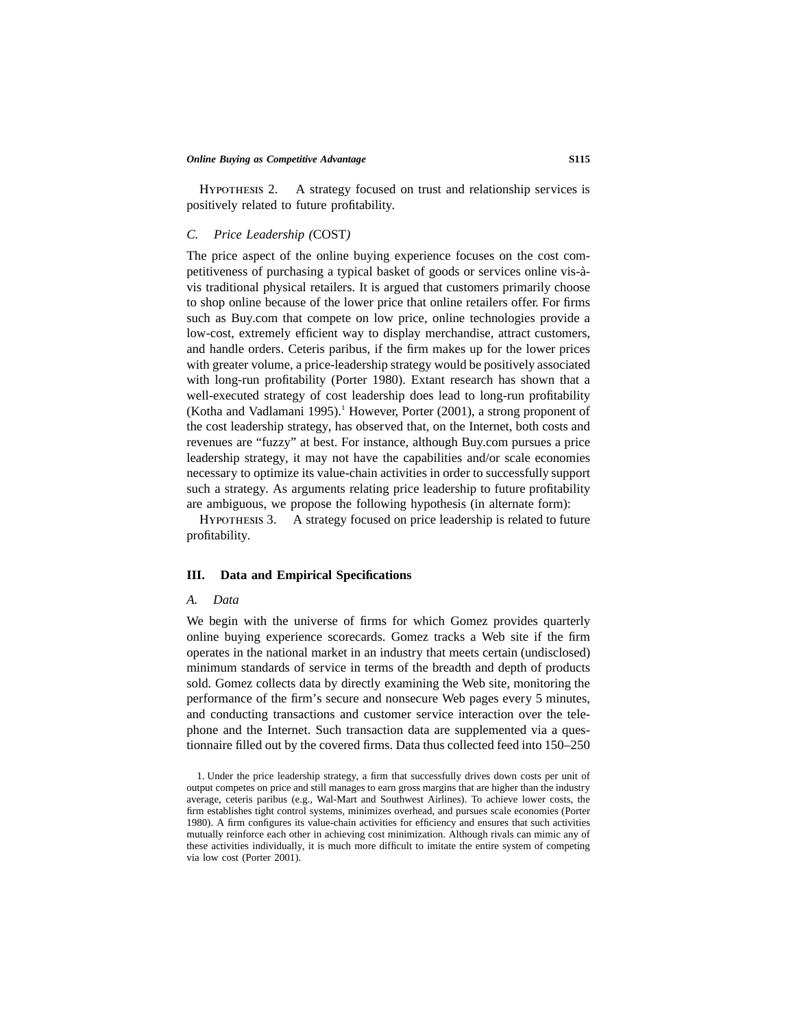Hypothesis 2. A strategy focused on trust and relationship services is positively related to future profitability.

# *C. Price Leadership (*COST*)*

The price aspect of the online buying experience focuses on the cost competitiveness of purchasing a typical basket of goods or services online vis-a` vis traditional physical retailers. It is argued that customers primarily choose to shop online because of the lower price that online retailers offer. For firms such as Buy.com that compete on low price, online technologies provide a low-cost, extremely efficient way to display merchandise, attract customers, and handle orders. Ceteris paribus, if the firm makes up for the lower prices with greater volume, a price-leadership strategy would be positively associated with long-run profitability (Porter 1980). Extant research has shown that a well-executed strategy of cost leadership does lead to long-run profitability (Kotha and Vadlamani 1995).<sup>1</sup> However, Porter (2001), a strong proponent of the cost leadership strategy, has observed that, on the Internet, both costs and revenues are "fuzzy" at best. For instance, although Buy.com pursues a price leadership strategy, it may not have the capabilities and/or scale economies necessary to optimize its value-chain activities in order to successfully support such a strategy. As arguments relating price leadership to future profitability are ambiguous, we propose the following hypothesis (in alternate form):

Hypothesis 3. A strategy focused on price leadership is related to future profitability.

# **III. Data and Empirical Specifications**

## *A. Data*

We begin with the universe of firms for which Gomez provides quarterly online buying experience scorecards. Gomez tracks a Web site if the firm operates in the national market in an industry that meets certain (undisclosed) minimum standards of service in terms of the breadth and depth of products sold. Gomez collects data by directly examining the Web site, monitoring the performance of the firm's secure and nonsecure Web pages every 5 minutes, and conducting transactions and customer service interaction over the telephone and the Internet. Such transaction data are supplemented via a questionnaire filled out by the covered firms. Data thus collected feed into 150–250

<sup>1.</sup> Under the price leadership strategy, a firm that successfully drives down costs per unit of output competes on price and still manages to earn gross margins that are higher than the industry average, ceteris paribus (e.g., Wal-Mart and Southwest Airlines). To achieve lower costs, the firm establishes tight control systems, minimizes overhead, and pursues scale economies (Porter 1980). A firm configures its value-chain activities for efficiency and ensures that such activities mutually reinforce each other in achieving cost minimization. Although rivals can mimic any of these activities individually, it is much more difficult to imitate the entire system of competing via low cost (Porter 2001).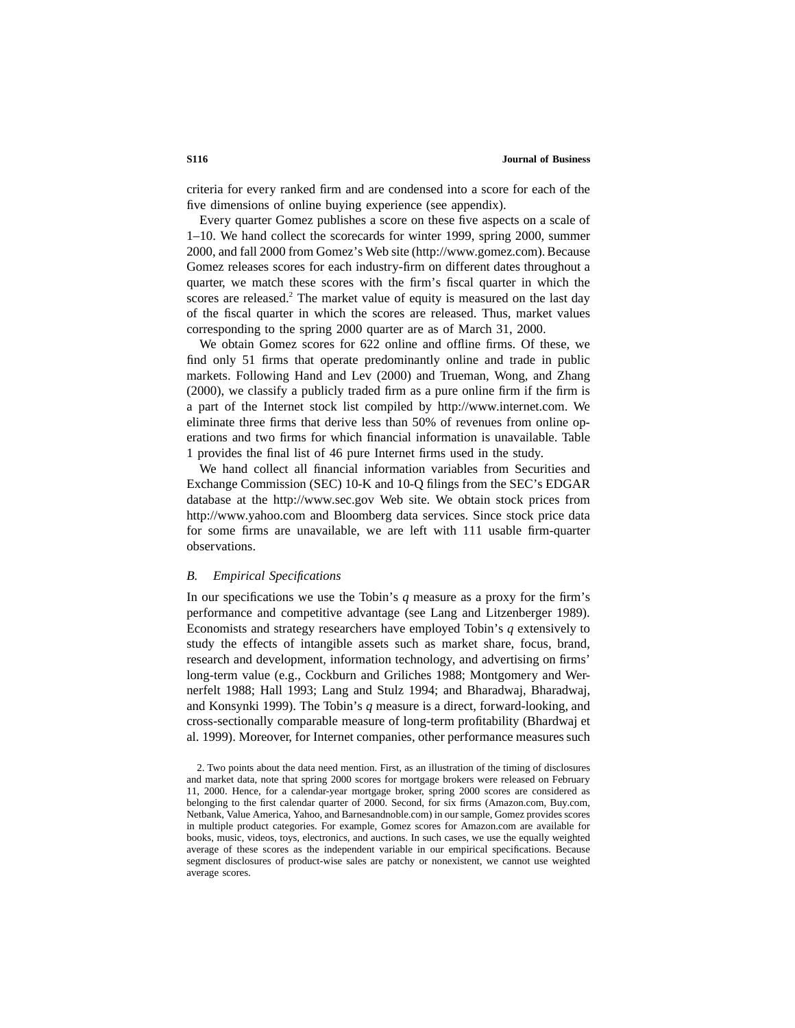### **S116 Journal of Business**

criteria for every ranked firm and are condensed into a score for each of the five dimensions of online buying experience (see appendix).

Every quarter Gomez publishes a score on these five aspects on a scale of 1–10. We hand collect the scorecards for winter 1999, spring 2000, summer 2000, and fall 2000 from Gomez's Web site (http://www.gomez.com). Because Gomez releases scores for each industry-firm on different dates throughout a quarter, we match these scores with the firm's fiscal quarter in which the scores are released.<sup>2</sup> The market value of equity is measured on the last day of the fiscal quarter in which the scores are released. Thus, market values corresponding to the spring 2000 quarter are as of March 31, 2000.

We obtain Gomez scores for 622 online and offline firms. Of these, we find only 51 firms that operate predominantly online and trade in public markets. Following Hand and Lev (2000) and Trueman, Wong, and Zhang (2000), we classify a publicly traded firm as a pure online firm if the firm is a part of the Internet stock list compiled by http://www.internet.com. We eliminate three firms that derive less than 50% of revenues from online operations and two firms for which financial information is unavailable. Table 1 provides the final list of 46 pure Internet firms used in the study.

We hand collect all financial information variables from Securities and Exchange Commission (SEC) 10-K and 10-Q filings from the SEC's EDGAR database at the http://www.sec.gov Web site. We obtain stock prices from http://www.yahoo.com and Bloomberg data services. Since stock price data for some firms are unavailable, we are left with 111 usable firm-quarter observations.

# *B. Empirical Specifications*

In our specifications we use the Tobin's *q* measure as a proxy for the firm's performance and competitive advantage (see Lang and Litzenberger 1989). Economists and strategy researchers have employed Tobin's *q* extensively to study the effects of intangible assets such as market share, focus, brand, research and development, information technology, and advertising on firms' long-term value (e.g., Cockburn and Griliches 1988; Montgomery and Wernerfelt 1988; Hall 1993; Lang and Stulz 1994; and Bharadwaj, Bharadwaj, and Konsynki 1999). The Tobin's *q* measure is a direct, forward-looking, and cross-sectionally comparable measure of long-term profitability (Bhardwaj et al. 1999). Moreover, for Internet companies, other performance measures such

<sup>2.</sup> Two points about the data need mention. First, as an illustration of the timing of disclosures and market data, note that spring 2000 scores for mortgage brokers were released on February 11, 2000. Hence, for a calendar-year mortgage broker, spring 2000 scores are considered as belonging to the first calendar quarter of 2000. Second, for six firms (Amazon.com, Buy.com, Netbank, Value America, Yahoo, and Barnesandnoble.com) in our sample, Gomez provides scores in multiple product categories. For example, Gomez scores for Amazon.com are available for books, music, videos, toys, electronics, and auctions. In such cases, we use the equally weighted average of these scores as the independent variable in our empirical specifications. Because segment disclosures of product-wise sales are patchy or nonexistent, we cannot use weighted average scores.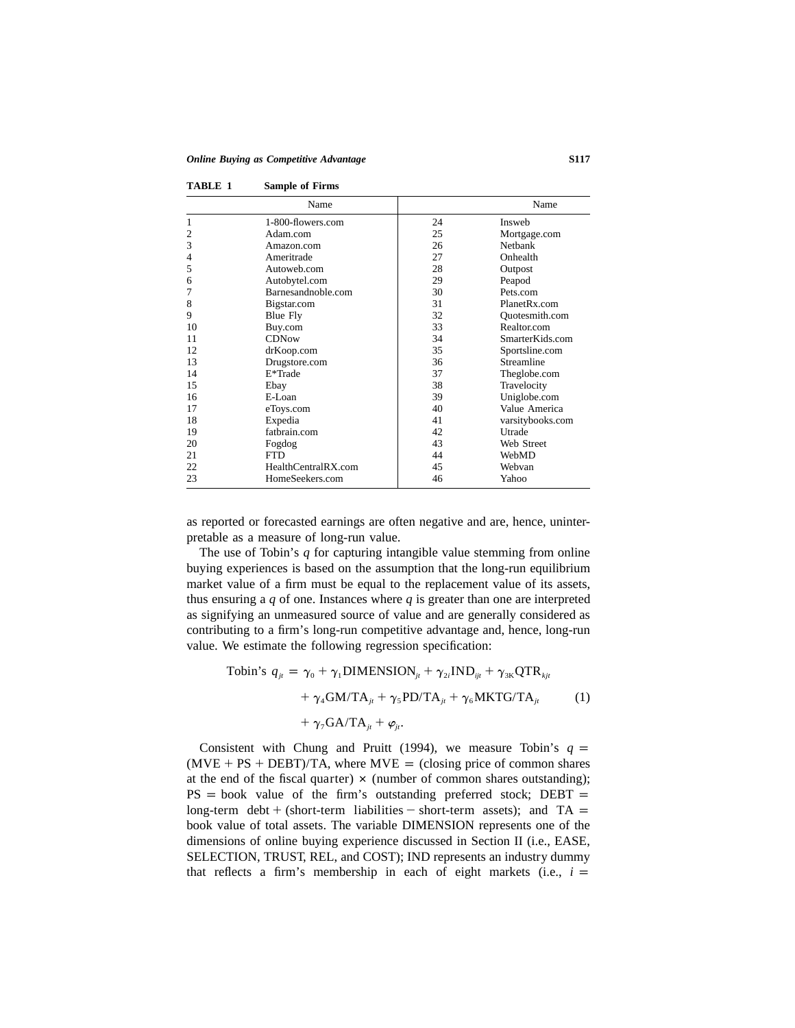| 1-800-flowers.com<br>1<br>24<br>Insweb<br>2<br>25<br>Adam.com<br>Mortgage.com<br>3<br>Nethank<br>26<br>Amazon.com<br>Ameritrade<br>27<br>Onhealth<br>4<br>5<br>Autoweb.com<br>28<br>Outpost<br>Autobytel.com<br>29<br>Peapod<br>6<br>Barnesandnoble.com<br>7<br>Pets.com<br>30<br>8<br>PlanetRx.com<br>31<br>Bigstar.com<br>9<br>Blue Fly<br>32<br>Realtor.com<br>10<br>33<br>Buy.com<br><b>CDNow</b><br>34<br>11<br>12<br>35<br>Sportsline.com<br>drKoop.com<br>36<br>Streamline<br>13<br>Drugstore.com<br>37<br>14<br>$E*Trade$<br>Theglobe.com<br>38<br>15<br>Travelocity<br>Ebay<br>Uniglobe.com<br>16<br>39<br>E-Loan<br>Value America<br>40<br>17<br>eToys.com<br>18<br>41<br>Expedia<br>fatbrain.com<br>42<br>19<br>Utrade<br>20<br>43<br>Web Street<br>Fogdog<br>21<br>44<br>WebMD<br>FTD.<br>HealthCentralRX.com<br>45<br>Webvan<br>22 | Name | Name             |
|-------------------------------------------------------------------------------------------------------------------------------------------------------------------------------------------------------------------------------------------------------------------------------------------------------------------------------------------------------------------------------------------------------------------------------------------------------------------------------------------------------------------------------------------------------------------------------------------------------------------------------------------------------------------------------------------------------------------------------------------------------------------------------------------------------------------------------------------------|------|------------------|
|                                                                                                                                                                                                                                                                                                                                                                                                                                                                                                                                                                                                                                                                                                                                                                                                                                                 |      |                  |
|                                                                                                                                                                                                                                                                                                                                                                                                                                                                                                                                                                                                                                                                                                                                                                                                                                                 |      |                  |
|                                                                                                                                                                                                                                                                                                                                                                                                                                                                                                                                                                                                                                                                                                                                                                                                                                                 |      |                  |
|                                                                                                                                                                                                                                                                                                                                                                                                                                                                                                                                                                                                                                                                                                                                                                                                                                                 |      |                  |
|                                                                                                                                                                                                                                                                                                                                                                                                                                                                                                                                                                                                                                                                                                                                                                                                                                                 |      |                  |
|                                                                                                                                                                                                                                                                                                                                                                                                                                                                                                                                                                                                                                                                                                                                                                                                                                                 |      |                  |
|                                                                                                                                                                                                                                                                                                                                                                                                                                                                                                                                                                                                                                                                                                                                                                                                                                                 |      |                  |
|                                                                                                                                                                                                                                                                                                                                                                                                                                                                                                                                                                                                                                                                                                                                                                                                                                                 |      |                  |
|                                                                                                                                                                                                                                                                                                                                                                                                                                                                                                                                                                                                                                                                                                                                                                                                                                                 |      | Quotesmith.com   |
|                                                                                                                                                                                                                                                                                                                                                                                                                                                                                                                                                                                                                                                                                                                                                                                                                                                 |      |                  |
|                                                                                                                                                                                                                                                                                                                                                                                                                                                                                                                                                                                                                                                                                                                                                                                                                                                 |      | SmarterKids.com  |
|                                                                                                                                                                                                                                                                                                                                                                                                                                                                                                                                                                                                                                                                                                                                                                                                                                                 |      |                  |
|                                                                                                                                                                                                                                                                                                                                                                                                                                                                                                                                                                                                                                                                                                                                                                                                                                                 |      |                  |
|                                                                                                                                                                                                                                                                                                                                                                                                                                                                                                                                                                                                                                                                                                                                                                                                                                                 |      |                  |
|                                                                                                                                                                                                                                                                                                                                                                                                                                                                                                                                                                                                                                                                                                                                                                                                                                                 |      |                  |
|                                                                                                                                                                                                                                                                                                                                                                                                                                                                                                                                                                                                                                                                                                                                                                                                                                                 |      |                  |
|                                                                                                                                                                                                                                                                                                                                                                                                                                                                                                                                                                                                                                                                                                                                                                                                                                                 |      |                  |
|                                                                                                                                                                                                                                                                                                                                                                                                                                                                                                                                                                                                                                                                                                                                                                                                                                                 |      | varsitybooks.com |
|                                                                                                                                                                                                                                                                                                                                                                                                                                                                                                                                                                                                                                                                                                                                                                                                                                                 |      |                  |
|                                                                                                                                                                                                                                                                                                                                                                                                                                                                                                                                                                                                                                                                                                                                                                                                                                                 |      |                  |
|                                                                                                                                                                                                                                                                                                                                                                                                                                                                                                                                                                                                                                                                                                                                                                                                                                                 |      |                  |
|                                                                                                                                                                                                                                                                                                                                                                                                                                                                                                                                                                                                                                                                                                                                                                                                                                                 |      |                  |
| HomeSeekers.com<br>23<br>46<br>Yahoo                                                                                                                                                                                                                                                                                                                                                                                                                                                                                                                                                                                                                                                                                                                                                                                                            |      |                  |

**TABLE 1 Sample of Firms**

as reported or forecasted earnings are often negative and are, hence, uninterpretable as a measure of long-run value.

The use of Tobin's *q* for capturing intangible value stemming from online buying experiences is based on the assumption that the long-run equilibrium market value of a firm must be equal to the replacement value of its assets, thus ensuring a *q* of one. Instances where *q* is greater than one are interpreted as signifying an unmeasured source of value and are generally considered as contributing to a firm's long-run competitive advantage and, hence, long-run value. We estimate the following regression specification:

Tobin's 
$$
q_{ji} = \gamma_0 + \gamma_1
$$
 DIMENSION<sub>j<sub>i</sub></sub> +  $\gamma_{2i}$ IND<sub>ij<sub>i</sub></sub> +  $\gamma_{3K}$ QTR<sub>kji</sub>

\n
$$
+ \gamma_4
$$
GM/TA<sub>j<sub>i</sub></sub> +  $\gamma_5$ PD/TA<sub>j<sub>i</sub></sub> +  $\gamma_6$ MKTG/TA<sub>j<sub>i</sub></sub>\n
$$
+ \gamma_7
$$
GA/TA<sub>j<sub>i</sub></sub> +  $\varphi_{ji$ .\n(1)

Consistent with Chung and Pruitt (1994), we measure Tobin's  $q =$  $(MVE + PS + DEBT)/TA$ , where  $MVE = (closing price of common shares$ at the end of the fiscal quarter)  $\times$  (number of common shares outstanding);  $PS = book$  value of the firm's outstanding preferred stock; DEBT = long-term debt + (short-term liabilities – short-term assets); and  $TA =$ book value of total assets. The variable DIMENSION represents one of the dimensions of online buying experience discussed in Section II (i.e., EASE, SELECTION, TRUST, REL, and COST); IND represents an industry dummy that reflects a firm's membership in each of eight markets (i.e.,  $i =$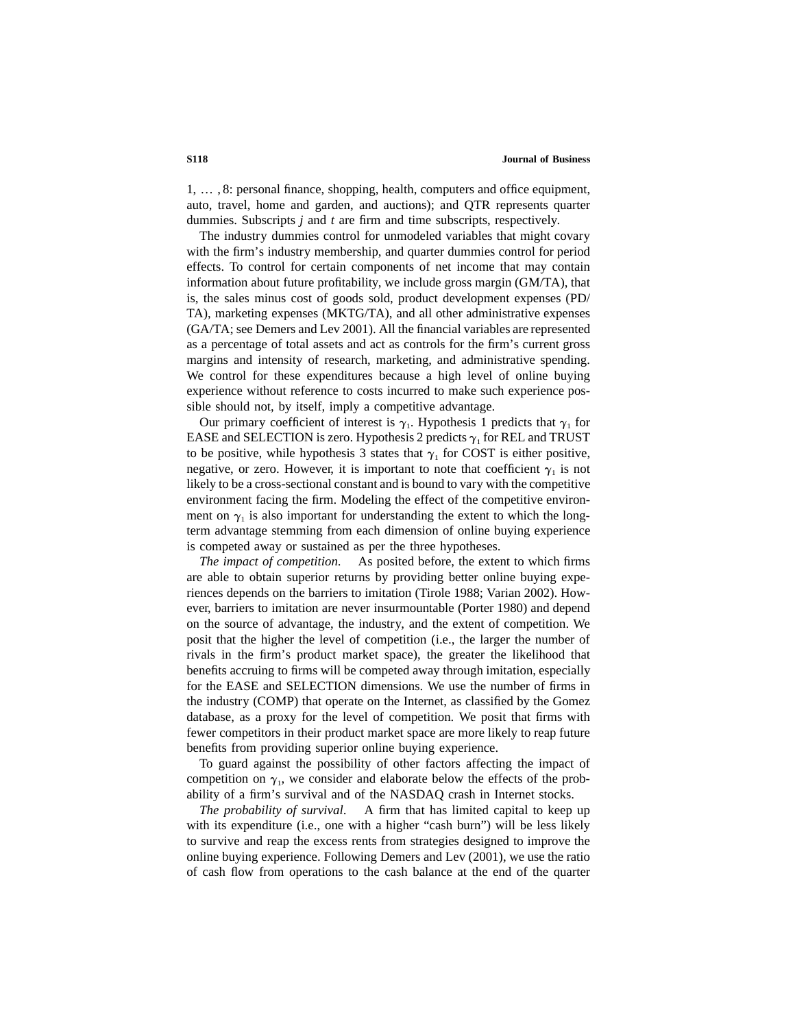1, … , 8: personal finance, shopping, health, computers and office equipment, auto, travel, home and garden, and auctions); and QTR represents quarter dummies. Subscripts *j* and *t* are firm and time subscripts, respectively.

The industry dummies control for unmodeled variables that might covary with the firm's industry membership, and quarter dummies control for period effects. To control for certain components of net income that may contain information about future profitability, we include gross margin (GM/TA), that is, the sales minus cost of goods sold, product development expenses (PD/ TA), marketing expenses (MKTG/TA), and all other administrative expenses (GA/TA; see Demers and Lev 2001). All the financial variables are represented as a percentage of total assets and act as controls for the firm's current gross margins and intensity of research, marketing, and administrative spending. We control for these expenditures because a high level of online buying experience without reference to costs incurred to make such experience possible should not, by itself, imply a competitive advantage.

Our primary coefficient of interest is  $\gamma_1$ . Hypothesis 1 predicts that  $\gamma_1$  for EASE and SELECTION is zero. Hypothesis 2 predicts  $\gamma_1$  for REL and TRUST to be positive, while hypothesis 3 states that  $\gamma_1$  for COST is either positive, negative, or zero. However, it is important to note that coefficient  $\gamma_1$  is not likely to be a cross-sectional constant and is bound to vary with the competitive environment facing the firm. Modeling the effect of the competitive environment on  $\gamma_1$  is also important for understanding the extent to which the longterm advantage stemming from each dimension of online buying experience is competed away or sustained as per the three hypotheses.

*The impact of competition*. As posited before, the extent to which firms are able to obtain superior returns by providing better online buying experiences depends on the barriers to imitation (Tirole 1988; Varian 2002). However, barriers to imitation are never insurmountable (Porter 1980) and depend on the source of advantage, the industry, and the extent of competition. We posit that the higher the level of competition (i.e., the larger the number of rivals in the firm's product market space), the greater the likelihood that benefits accruing to firms will be competed away through imitation, especially for the EASE and SELECTION dimensions. We use the number of firms in the industry (COMP) that operate on the Internet, as classified by the Gomez database, as a proxy for the level of competition. We posit that firms with fewer competitors in their product market space are more likely to reap future benefits from providing superior online buying experience.

To guard against the possibility of other factors affecting the impact of competition on  $\gamma_1$ , we consider and elaborate below the effects of the probability of a firm's survival and of the NASDAQ crash in Internet stocks.

*The probability of survival*. A firm that has limited capital to keep up with its expenditure (i.e., one with a higher "cash burn") will be less likely to survive and reap the excess rents from strategies designed to improve the online buying experience. Following Demers and Lev (2001), we use the ratio of cash flow from operations to the cash balance at the end of the quarter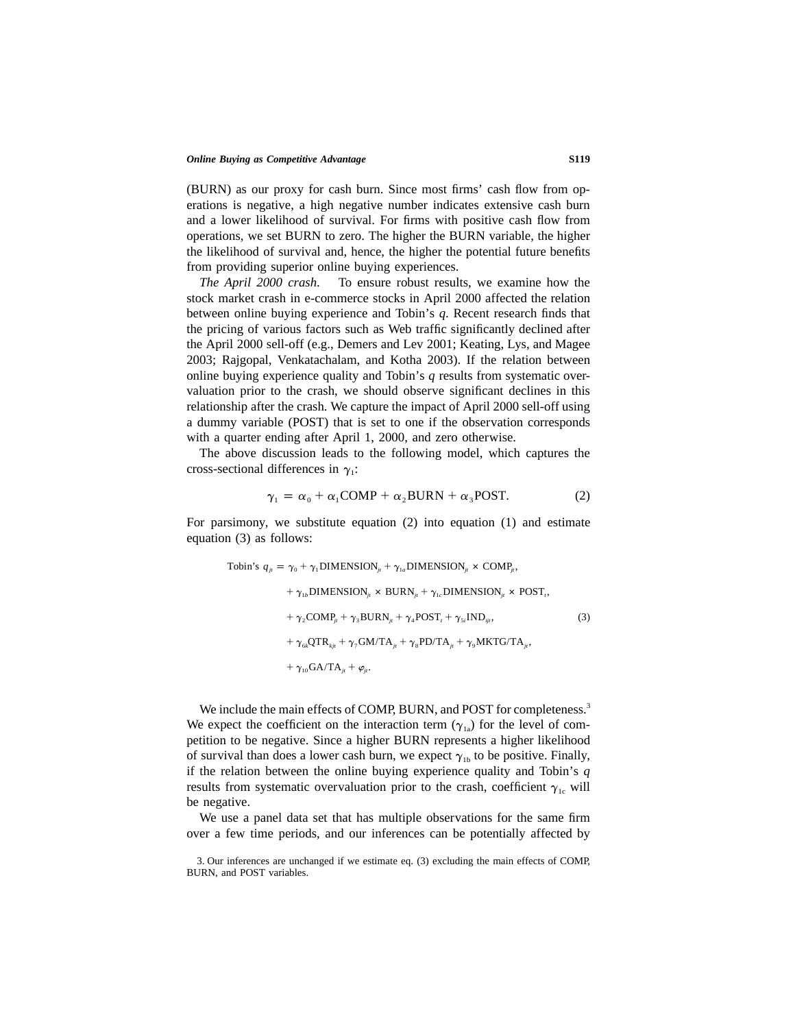(BURN) as our proxy for cash burn. Since most firms' cash flow from operations is negative, a high negative number indicates extensive cash burn and a lower likelihood of survival. For firms with positive cash flow from operations, we set BURN to zero. The higher the BURN variable, the higher the likelihood of survival and, hence, the higher the potential future benefits from providing superior online buying experiences.

*The April 2000 crash*. To ensure robust results, we examine how the stock market crash in e-commerce stocks in April 2000 affected the relation between online buying experience and Tobin's *q*. Recent research finds that the pricing of various factors such as Web traffic significantly declined after the April 2000 sell-off (e.g., Demers and Lev 2001; Keating, Lys, and Magee 2003; Rajgopal, Venkatachalam, and Kotha 2003). If the relation between online buying experience quality and Tobin's *q* results from systematic overvaluation prior to the crash, we should observe significant declines in this relationship after the crash. We capture the impact of April 2000 sell-off using a dummy variable (POST) that is set to one if the observation corresponds with a quarter ending after April 1, 2000, and zero otherwise.

The above discussion leads to the following model, which captures the cross-sectional differences in  $\gamma_1$ :

$$
\gamma_1 = \alpha_0 + \alpha_1 \text{COMP} + \alpha_2 \text{BURN} + \alpha_3 \text{POST.}
$$
 (2)

For parsimony, we substitute equation (2) into equation (1) and estimate equation (3) as follows:

Tobin's 
$$
q_{ji} = \gamma_0 + \gamma_1
$$
 DIMENSION<sub>ji</sub> +  $\gamma_{1a}$  DIMENSION<sub>ji</sub> × COMP<sub>ji</sub>,  
\n $+ \gamma_{1b}$  DIMENSION<sub>ji</sub> × BURN<sub>ji</sub> +  $\gamma_{1c}$  DIMENSION<sub>ji</sub> × POST<sub>i</sub>,  
\n $+ \gamma_2$ COMP<sub>ji</sub> +  $\gamma_3$ BURN<sub>ji</sub> +  $\gamma_4$ POST<sub>i</sub> +  $\gamma_{si}$ IND<sub>iji</sub>,  
\n $+ \gamma_{6k}$ QTR<sub>kj*i*</sub> +  $\gamma_5$ GM/TA<sub>ji</sub> +  $\gamma_8$ PD/TA<sub>ji</sub> +  $\gamma_9$ MKTG/TA<sub>ji</sub>,  
\n $+ \gamma_{10}$ GA/TA<sub>ji</sub> +  $\varphi_{ji}$ .

\n(3)

We include the main effects of COMP, BURN, and POST for completeness.<sup>3</sup> We expect the coefficient on the interaction term  $(\gamma_{1a})$  for the level of competition to be negative. Since a higher BURN represents a higher likelihood of survival than does a lower cash burn, we expect  $\gamma_{1b}$  to be positive. Finally, if the relation between the online buying experience quality and Tobin's *q* results from systematic overvaluation prior to the crash, coefficient  $\gamma_{1c}$  will be negative.

We use a panel data set that has multiple observations for the same firm over a few time periods, and our inferences can be potentially affected by

<sup>3.</sup> Our inferences are unchanged if we estimate eq. (3) excluding the main effects of COMP, BURN, and POST variables.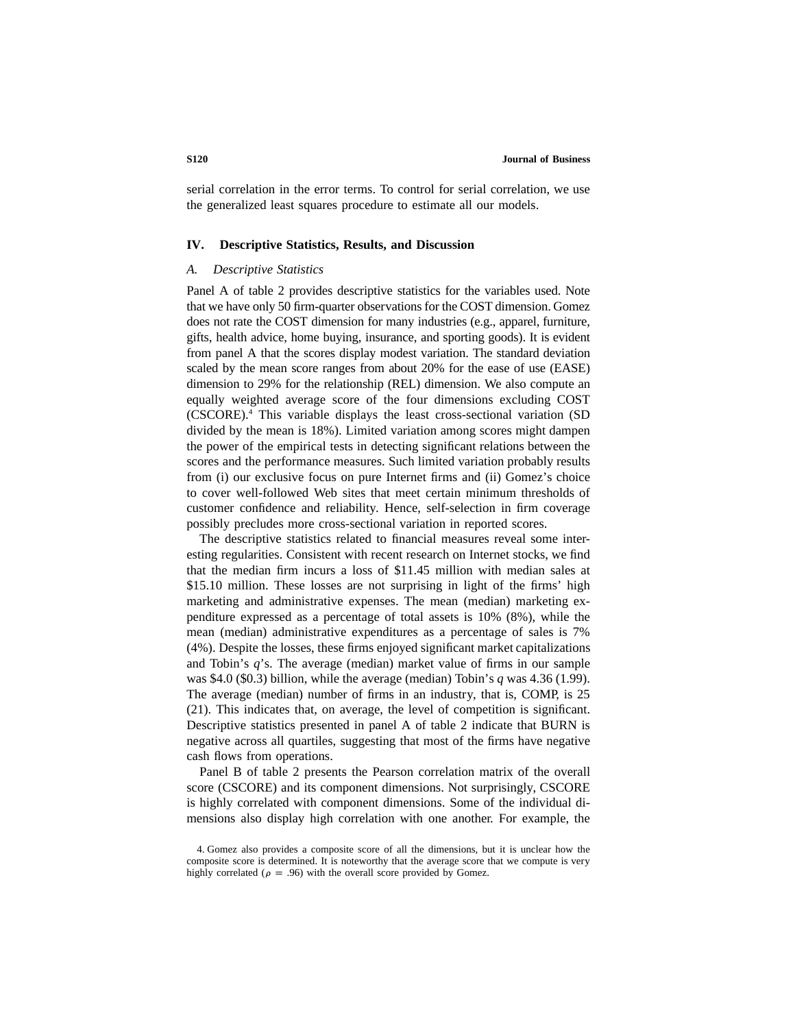serial correlation in the error terms. To control for serial correlation, we use the generalized least squares procedure to estimate all our models.

# **IV. Descriptive Statistics, Results, and Discussion**

# *A. Descriptive Statistics*

Panel A of table 2 provides descriptive statistics for the variables used. Note that we have only 50 firm-quarter observations for the COST dimension. Gomez does not rate the COST dimension for many industries (e.g., apparel, furniture, gifts, health advice, home buying, insurance, and sporting goods). It is evident from panel A that the scores display modest variation. The standard deviation scaled by the mean score ranges from about 20% for the ease of use (EASE) dimension to 29% for the relationship (REL) dimension. We also compute an equally weighted average score of the four dimensions excluding COST (CSCORE).4 This variable displays the least cross-sectional variation (SD divided by the mean is 18%). Limited variation among scores might dampen the power of the empirical tests in detecting significant relations between the scores and the performance measures. Such limited variation probably results from (i) our exclusive focus on pure Internet firms and (ii) Gomez's choice to cover well-followed Web sites that meet certain minimum thresholds of customer confidence and reliability. Hence, self-selection in firm coverage possibly precludes more cross-sectional variation in reported scores.

The descriptive statistics related to financial measures reveal some interesting regularities. Consistent with recent research on Internet stocks, we find that the median firm incurs a loss of \$11.45 million with median sales at \$15.10 million. These losses are not surprising in light of the firms' high marketing and administrative expenses. The mean (median) marketing expenditure expressed as a percentage of total assets is 10% (8%), while the mean (median) administrative expenditures as a percentage of sales is 7% (4%). Despite the losses, these firms enjoyed significant market capitalizations and Tobin's *q*'s. The average (median) market value of firms in our sample was \$4.0 (\$0.3) billion, while the average (median) Tobin's *q* was 4.36 (1.99). The average (median) number of firms in an industry, that is, COMP, is 25 (21). This indicates that, on average, the level of competition is significant. Descriptive statistics presented in panel A of table 2 indicate that BURN is negative across all quartiles, suggesting that most of the firms have negative cash flows from operations.

Panel B of table 2 presents the Pearson correlation matrix of the overall score (CSCORE) and its component dimensions. Not surprisingly, CSCORE is highly correlated with component dimensions. Some of the individual dimensions also display high correlation with one another. For example, the

<sup>4.</sup> Gomez also provides a composite score of all the dimensions, but it is unclear how the composite score is determined. It is noteworthy that the average score that we compute is very highly correlated ( $\rho = .96$ ) with the overall score provided by Gomez.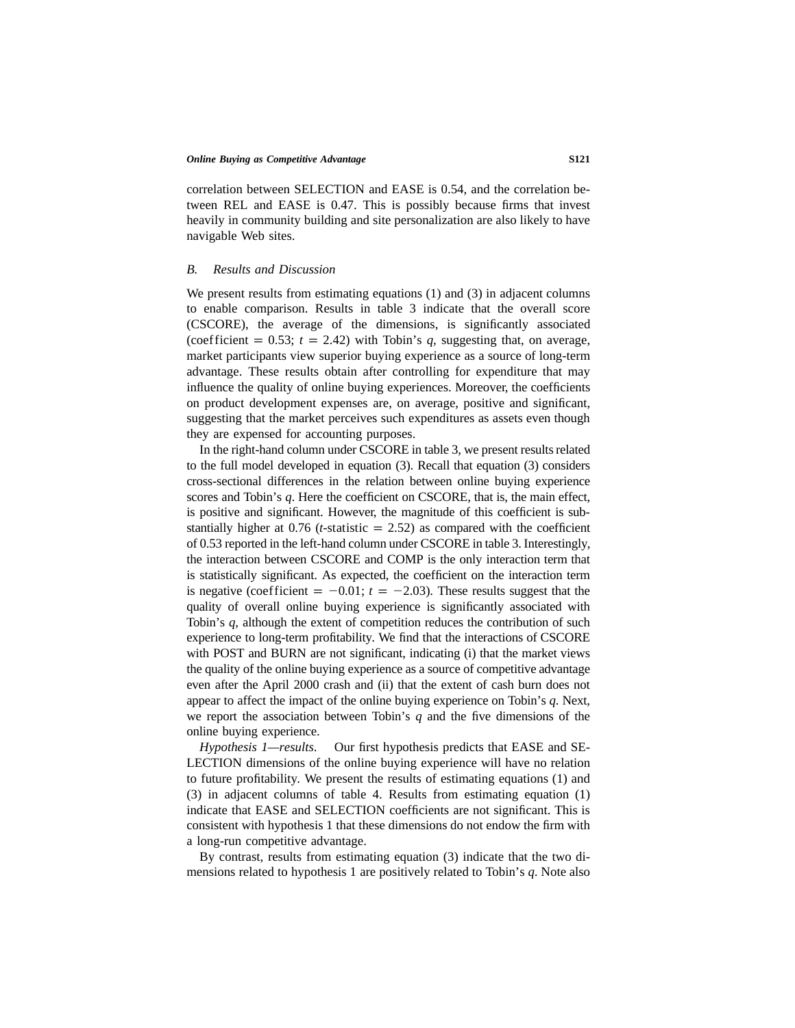correlation between SELECTION and EASE is 0.54, and the correlation between REL and EASE is 0.47. This is possibly because firms that invest heavily in community building and site personalization are also likely to have navigable Web sites.

# *B. Results and Discussion*

We present results from estimating equations (1) and (3) in adjacent columns to enable comparison. Results in table 3 indicate that the overall score (CSCORE), the average of the dimensions, is significantly associated (coefficient = 0.53;  $t = 2.42$ ) with Tobin's q, suggesting that, on average, market participants view superior buying experience as a source of long-term advantage. These results obtain after controlling for expenditure that may influence the quality of online buying experiences. Moreover, the coefficients on product development expenses are, on average, positive and significant, suggesting that the market perceives such expenditures as assets even though they are expensed for accounting purposes.

In the right-hand column under CSCORE in table 3, we present results related to the full model developed in equation (3). Recall that equation (3) considers cross-sectional differences in the relation between online buying experience scores and Tobin's *q*. Here the coefficient on CSCORE, that is, the main effect, is positive and significant. However, the magnitude of this coefficient is substantially higher at  $0.76$  (*t*-statistic = 2.52) as compared with the coefficient of 0.53 reported in the left-hand column under CSCORE in table 3. Interestingly, the interaction between CSCORE and COMP is the only interaction term that is statistically significant. As expected, the coefficient on the interaction term is negative (coefficient  $= -0.01$ ;  $t = -2.03$ ). These results suggest that the quality of overall online buying experience is significantly associated with Tobin's *q,* although the extent of competition reduces the contribution of such experience to long-term profitability. We find that the interactions of CSCORE with POST and BURN are not significant, indicating (i) that the market views the quality of the online buying experience as a source of competitive advantage even after the April 2000 crash and (ii) that the extent of cash burn does not appear to affect the impact of the online buying experience on Tobin's *q*. Next, we report the association between Tobin's *q* and the five dimensions of the online buying experience.

*Hypothesis 1—results*. Our first hypothesis predicts that EASE and SE-LECTION dimensions of the online buying experience will have no relation to future profitability. We present the results of estimating equations (1) and (3) in adjacent columns of table 4. Results from estimating equation (1) indicate that EASE and SELECTION coefficients are not significant. This is consistent with hypothesis 1 that these dimensions do not endow the firm with a long-run competitive advantage.

By contrast, results from estimating equation (3) indicate that the two dimensions related to hypothesis 1 are positively related to Tobin's *q*. Note also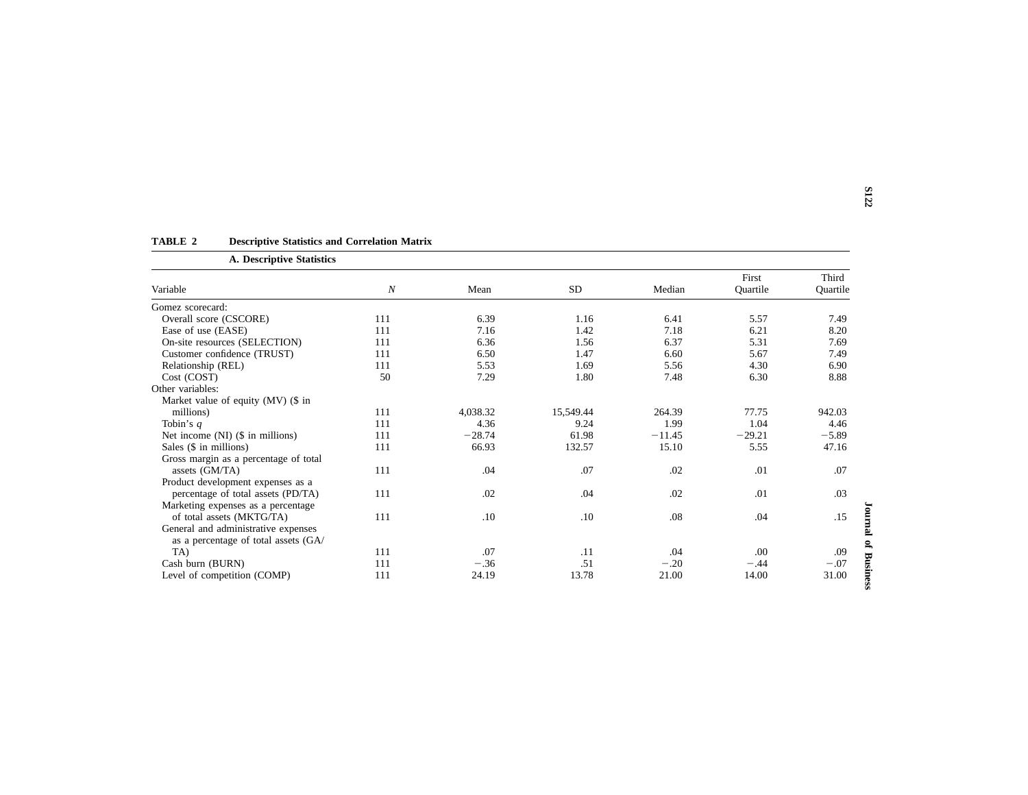| TABLE 2                               | <b>Descriptive Statistics and Correlation Matrix</b> |          |           |          |                   |                   |
|---------------------------------------|------------------------------------------------------|----------|-----------|----------|-------------------|-------------------|
| A. Descriptive Statistics             |                                                      |          |           |          |                   |                   |
| Variable                              | $\boldsymbol{N}$                                     | Mean     | <b>SD</b> | Median   | First<br>Ouartile | Third<br>Quartile |
| Gomez scorecard:                      |                                                      |          |           |          |                   |                   |
| Overall score (CSCORE)                | 111                                                  | 6.39     | 1.16      | 6.41     | 5.57              | 7.49              |
| Ease of use (EASE)                    | 111                                                  | 7.16     | 1.42      | 7.18     | 6.21              | 8.20              |
| On-site resources (SELECTION)         | 111                                                  | 6.36     | 1.56      | 6.37     | 5.31              | 7.69              |
| Customer confidence (TRUST)           | 111                                                  | 6.50     | 1.47      | 6.60     | 5.67              | 7.49              |
| Relationship (REL)                    | 111                                                  | 5.53     | 1.69      | 5.56     | 4.30              | 6.90              |
| Cost (COST)                           | 50                                                   | 7.29     | 1.80      | 7.48     | 6.30              | 8.88              |
| Other variables:                      |                                                      |          |           |          |                   |                   |
| Market value of equity (MV) $(\$$ in  |                                                      |          |           |          |                   |                   |
| millions)                             | 111                                                  | 4,038.32 | 15,549.44 | 264.39   | 77.75             | 942.03            |
| Tobin's $q$                           | 111                                                  | 4.36     | 9.24      | 1.99     | 1.04              | 4.46              |
| Net income (NI) (\$ in millions)      | 111                                                  | $-28.74$ | 61.98     | $-11.45$ | $-29.21$          | $-5.89$           |
| Sales (\$ in millions)                | 111                                                  | 66.93    | 132.57    | 15.10    | 5.55              | 47.16             |
| Gross margin as a percentage of total |                                                      |          |           |          |                   |                   |
| assets (GM/TA)                        | 111                                                  | .04      | .07       | .02      | .01               | .07               |
| Product development expenses as a     |                                                      |          |           |          |                   |                   |
| percentage of total assets (PD/TA)    | 111                                                  | .02      | .04       | .02      | .01               | .03               |
| Marketing expenses as a percentage    |                                                      |          |           |          |                   |                   |
| of total assets (MKTG/TA)             | 111                                                  | .10      | .10       | .08      | .04               | .15               |
| General and administrative expenses   |                                                      |          |           |          |                   |                   |
| as a percentage of total assets (GA/  |                                                      |          |           |          |                   |                   |
| TA)                                   | 111                                                  | .07      | .11       | .04      | .00               | .09               |
| Cash burn (BURN)                      | 111                                                  | $-.36$   | .51       | $-.20$   | $-.44$            | $-.07$            |
| Level of competition (COMP)           | 111                                                  | 24.19    | 13.78     | 21.00    | 14.00             | 31.00             |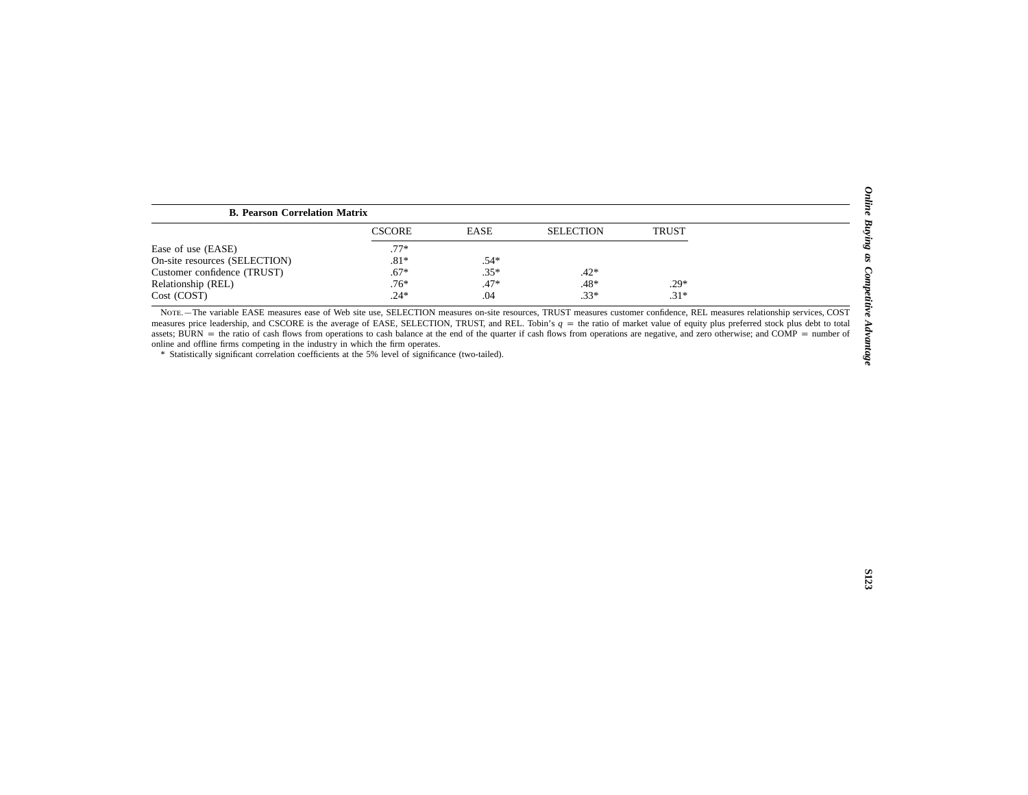| <b>B. Pearson Correlation Matrix</b>                                                               |               |        |                  |              |  |
|----------------------------------------------------------------------------------------------------|---------------|--------|------------------|--------------|--|
|                                                                                                    | <b>CSCORE</b> | EASE   | <b>SELECTION</b> | <b>TRUST</b> |  |
| Ease of use (EASE)                                                                                 | $.77*$        |        |                  |              |  |
| On-site resources (SELECTION)                                                                      | $.81*$        | $.54*$ |                  |              |  |
| Customer confidence (TRUST)                                                                        | $.67*$        | $.35*$ | $.42*$           |              |  |
| Relationship (REL)                                                                                 | $.76*$        | $.47*$ | .48*             | $.29*$       |  |
| Cost (COST)                                                                                        | $.24*$        | .04    | $.33*$           | $.31*$       |  |
| * Statistically significant correlation coefficients at the 5% level of significance (two-tailed). |               |        |                  |              |  |
|                                                                                                    |               |        |                  |              |  |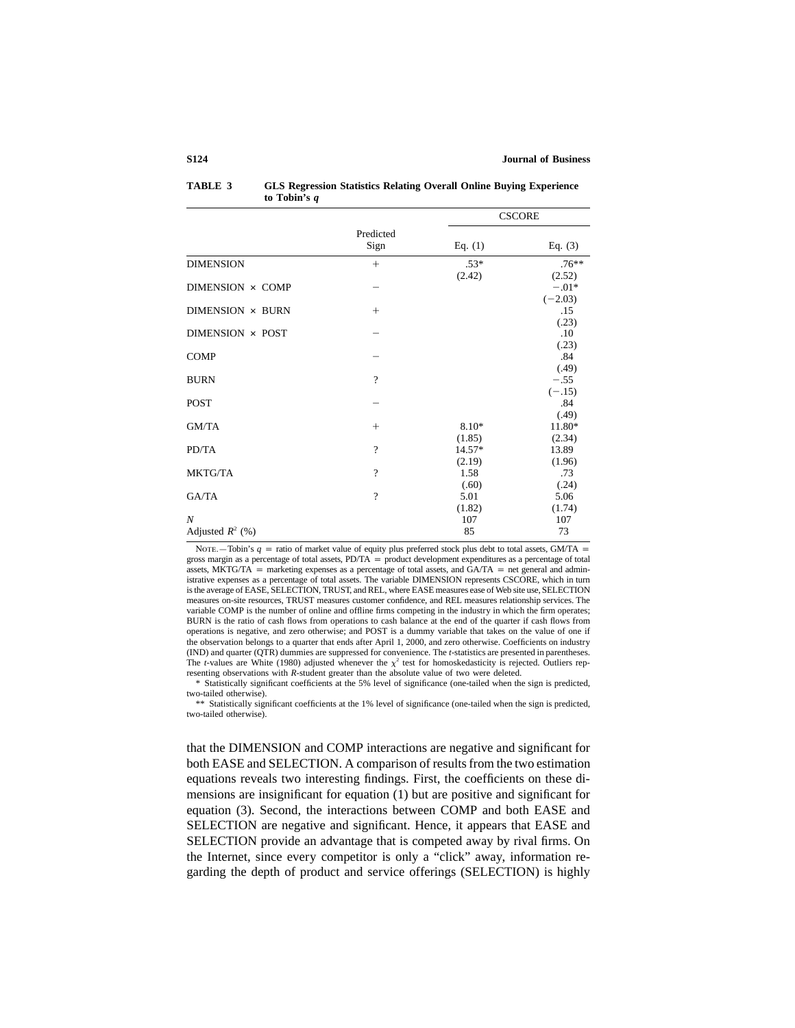|                    |                          |           | <b>CSCORE</b>   |
|--------------------|--------------------------|-----------|-----------------|
|                    | Predicted<br>Sign        | Eq. $(1)$ | Eq. $(3)$       |
| <b>DIMENSION</b>   | $+$                      | $.53*$    | $.76***$        |
|                    |                          | (2.42)    | (2.52)          |
| DIMENSION × COMP   |                          |           | $-.01*$         |
|                    |                          |           | $(-2.03)$       |
| DIMENSION × BURN   | $^{+}$                   |           | .15             |
|                    |                          |           | (.23)           |
| DIMENSION × POST   |                          |           | .10             |
|                    |                          |           | (.23)           |
| <b>COMP</b>        |                          |           | .84             |
| <b>BURN</b>        | $\gamma$                 |           | (.49)<br>$-.55$ |
|                    |                          |           | $(-.15)$        |
| <b>POST</b>        |                          |           | .84             |
|                    |                          |           | (.49)           |
| GM/TA              | $^{+}$                   | 8.10*     | 11.80*          |
|                    |                          | (1.85)    | (2.34)          |
| PD/TA              | $\overline{\mathcal{L}}$ | 14.57*    | 13.89           |
|                    |                          | (2.19)    | (1.96)          |
| <b>MKTG/TA</b>     | $\overline{\mathcal{L}}$ | 1.58      | .73             |
|                    |                          | (.60)     | (.24)           |
| GA/TA              | $\gamma$                 | 5.01      | 5.06            |
|                    |                          | (1.82)    | (1.74)          |
| $\boldsymbol{N}$   |                          | 107       | 107             |
| Adjusted $R^2$ (%) |                          | 85        | 73              |

| TABLE 3 | <b>GLS Regression Statistics Relating Overall Online Buying Experience</b> |
|---------|----------------------------------------------------------------------------|
|         | to Tobin's q                                                               |

NOTE.—Tobin's  $q =$  ratio of market value of equity plus preferred stock plus debt to total assets, GM/TA = gross margin as a percentage of total assets,  $PD/TA =$  product development expenditures as a percentage of total assets, MKTG/TA = marketing expenses as a percentage of total assets, and GA/TA = net general and administrative expenses as a percentage of total assets. The variable DIMENSION represents CSCORE, which in turn is the average of EASE, SELECTION, TRUST, and REL, where EASE measures ease of Web site use, SELECTION measures on-site resources, TRUST measures customer confidence, and REL measures relationship services. The variable COMP is the number of online and offline firms competing in the industry in which the firm operates; BURN is the ratio of cash flows from operations to cash balance at the end of the quarter if cash flows from operations is negative, and zero otherwise; and POST is a dummy variable that takes on the value of one if the observation belongs to a quarter that ends after April 1, 2000, and zero otherwise. Coefficients on industry (IND) and quarter (QTR) dummies are suppressed for convenience. The *t*-statistics are presented in parentheses. The *t*-values are White (1980) adjusted whenever the  $\chi^2$  test for homoskedasticity is rejected. Outliers representing observations with *R*-student greater than the absolute value of two were deleted.

\* Statistically significant coefficients at the 5% level of significance (one-tailed when the sign is predicted, two-tailed otherwise).

\*\* Statistically significant coefficients at the 1% level of significance (one-tailed when the sign is predicted, two-tailed otherwise).

that the DIMENSION and COMP interactions are negative and significant for both EASE and SELECTION. A comparison of results from the two estimation equations reveals two interesting findings. First, the coefficients on these dimensions are insignificant for equation (1) but are positive and significant for equation (3). Second, the interactions between COMP and both EASE and SELECTION are negative and significant. Hence, it appears that EASE and SELECTION provide an advantage that is competed away by rival firms. On the Internet, since every competitor is only a "click" away, information regarding the depth of product and service offerings (SELECTION) is highly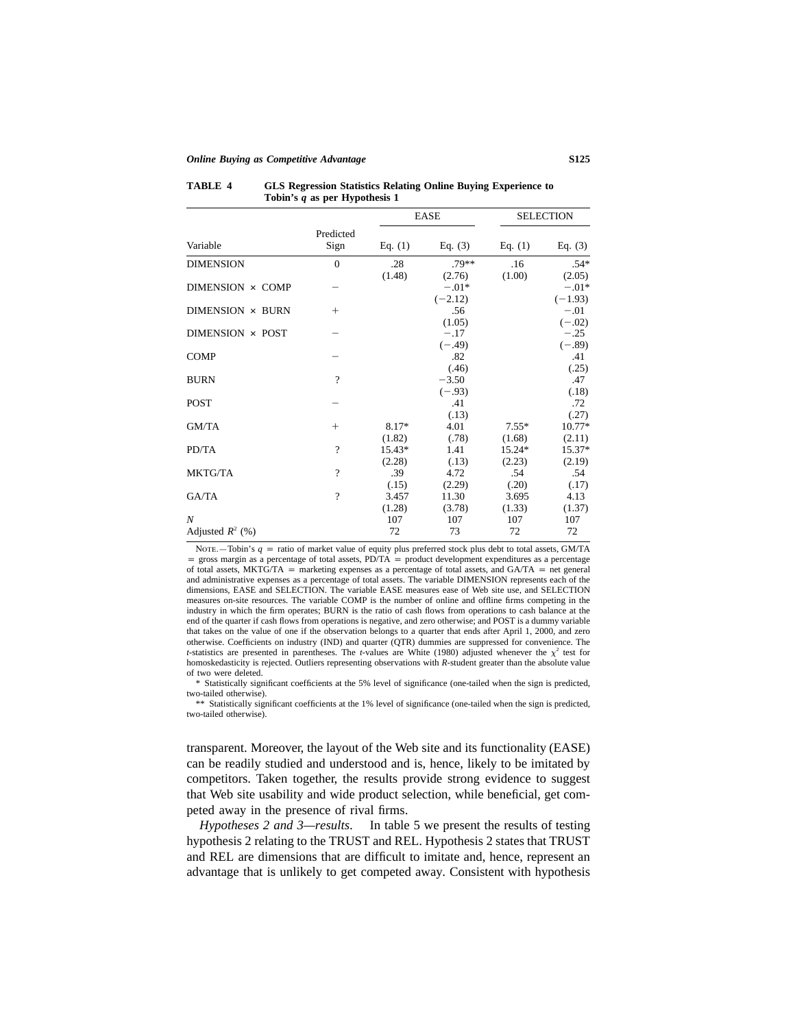# *Online Buying as Competitive Advantage* **S125**

|                    |                    |                  | EASE          | <b>SELECTION</b> |                    |  |
|--------------------|--------------------|------------------|---------------|------------------|--------------------|--|
| Variable           | Predicted<br>Sign  | Eq. $(1)$        | Eq. $(3)$     | Eq. $(1)$        | Eq. $(3)$          |  |
| <b>DIMENSION</b>   | $\theta$           | .28              | $.79**$       | .16              | $.54*$             |  |
|                    |                    | (1.48)           | (2.76)        | (1.00)           | (2.05)             |  |
| DIMENSION × COMP   |                    |                  | $-.01*$       |                  | $-.01*$            |  |
|                    |                    |                  | $(-2.12)$     |                  | $(-1.93)$          |  |
| DIMENSION × BURN   | $^{+}$             |                  | .56           |                  | $-.01$             |  |
|                    |                    |                  | (1.05)        |                  | $(-.02)$           |  |
| DIMENSION × POST   |                    |                  | $-.17$        |                  | $-.25$             |  |
|                    |                    |                  | $(-.49)$      |                  | $(-.89)$           |  |
| <b>COMP</b>        |                    |                  | .82           |                  | .41                |  |
|                    |                    |                  | (.46)         |                  | (.25)              |  |
| <b>BURN</b>        | $\overline{\cdot}$ |                  | $-3.50$       |                  | .47                |  |
|                    |                    |                  | $(-.93)$      |                  | (.18)              |  |
| <b>POST</b>        |                    |                  | .41           |                  | .72                |  |
|                    |                    |                  | (.13)         |                  | (.27)              |  |
| <b>GM/TA</b>       | $^{+}$             | 8.17*            | 4.01          | $7.55*$          | 10.77*             |  |
| PD/TA              | $\overline{\cdot}$ | (1.82)<br>15.43* | (.78)<br>1.41 | (1.68)<br>15.24* | (2.11)<br>$15.37*$ |  |
|                    |                    | (2.28)           | (.13)         | (2.23)           | (2.19)             |  |
| <b>MKTG/TA</b>     | $\gamma$           | .39              | 4.72          | .54              | .54                |  |
|                    |                    | (.15)            | (2.29)        | (.20)            | (.17)              |  |
| GA/TA              | $\gamma$           | 3.457            | 11.30         | 3.695            | 4.13               |  |
|                    |                    | (1.28)           | (3.78)        | (1.33)           | (1.37)             |  |
| N                  |                    | 107              | 107           | 107              | 107                |  |
| Adjusted $R^2$ (%) |                    | 72               | 73            | 72               | 72                 |  |

| TABLE 4 | <b>GLS Regression Statistics Relating Online Buying Experience to</b> |
|---------|-----------------------------------------------------------------------|
|         | Tobin's q as per Hypothesis 1                                         |

NOTE.—Tobin's  $q =$  ratio of market value of equity plus preferred stock plus debt to total assets, GM/TA  $=$  gross margin as a percentage of total assets, PD/TA  $=$  product development expenditures as a percentage of total assets, MKTG/TA = marketing expenses as a percentage of total assets, and GA/TA = net general and administrative expenses as a percentage of total assets. The variable DIMENSION represents each of the dimensions, EASE and SELECTION. The variable EASE measures ease of Web site use, and SELECTION measures on-site resources. The variable COMP is the number of online and offline firms competing in the industry in which the firm operates; BURN is the ratio of cash flows from operations to cash balance at the end of the quarter if cash flows from operations is negative, and zero otherwise; and POST is a dummy variable that takes on the value of one if the observation belongs to a quarter that ends after April 1, 2000, and zero otherwise. Coefficients on industry (IND) and quarter (QTR) dummies are suppressed for convenience. The *t*-statistics are presented in parentheses. The *t*-values are White (1980) adjusted whenever the  $\chi^2$  test for homoskedasticity is rejected. Outliers representing observations with *R*-student greater than the absolute value of two were deleted.

\* Statistically significant coefficients at the 5% level of significance (one-tailed when the sign is predicted, two-tailed otherwise).

\*\* Statistically significant coefficients at the 1% level of significance (one-tailed when the sign is predicted, two-tailed otherwise).

transparent. Moreover, the layout of the Web site and its functionality (EASE) can be readily studied and understood and is, hence, likely to be imitated by competitors. Taken together, the results provide strong evidence to suggest that Web site usability and wide product selection, while beneficial, get competed away in the presence of rival firms.

*Hypotheses 2 and 3—results*. In table 5 we present the results of testing hypothesis 2 relating to the TRUST and REL. Hypothesis 2 states that TRUST and REL are dimensions that are difficult to imitate and, hence, represent an advantage that is unlikely to get competed away. Consistent with hypothesis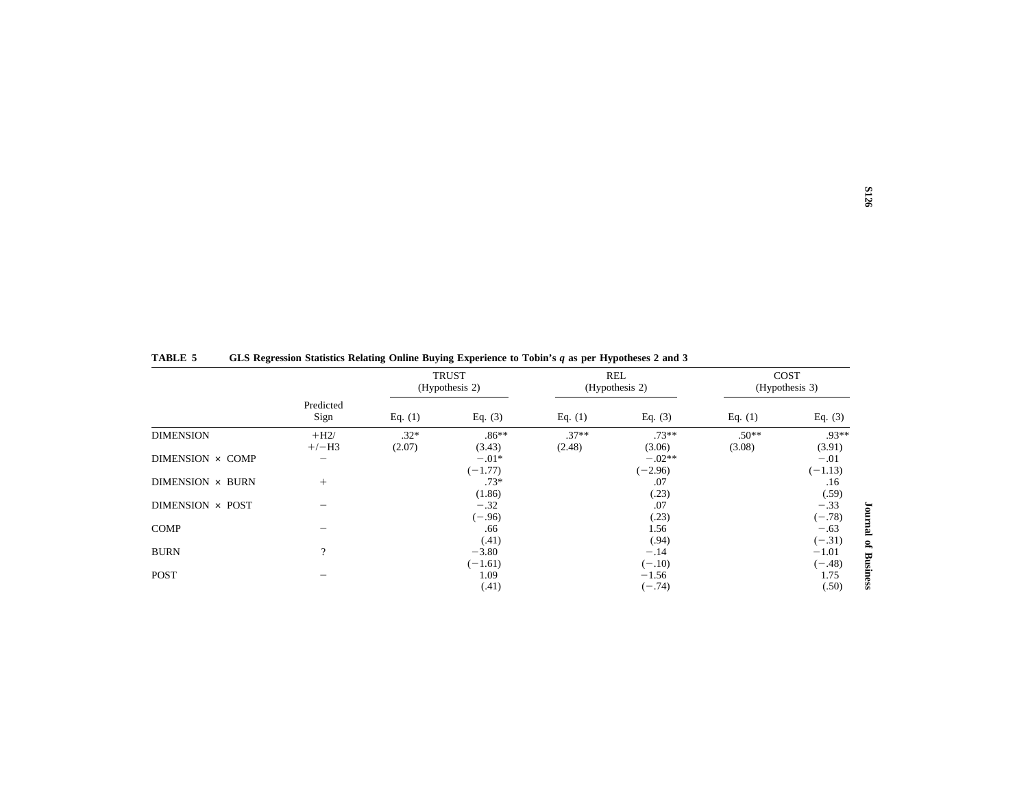|                                      |                          |                  |                                                                                                                                      |                   |                               |                   |                             | S126                       |
|--------------------------------------|--------------------------|------------------|--------------------------------------------------------------------------------------------------------------------------------------|-------------------|-------------------------------|-------------------|-----------------------------|----------------------------|
| TABLE 5                              |                          |                  | GLS Regression Statistics Relating Online Buying Experience to Tobin's q as per Hypotheses 2 and 3<br><b>TRUST</b><br>(Hypothesis 2) |                   | <b>REL</b><br>(Hypothesis 2)  |                   | COST<br>(Hypothesis 3)      |                            |
|                                      | Predicted<br>Sign        | Eq. $(1)$        | Eq. $(3)$                                                                                                                            | Eq. $(1)$         | Eq. $(3)$                     | Eq. $(1)$         | Eq. $(3)$                   |                            |
| <b>DIMENSION</b><br>DIMENSION × COMP | $+H2/$<br>$+/-H3$        | $.32*$<br>(2.07) | $.86**$<br>(3.43)<br>$-.01*$                                                                                                         | $.37**$<br>(2.48) | $.73**$<br>(3.06)<br>$-.02**$ | $.50**$<br>(3.08) | $.93**$<br>(3.91)<br>$-.01$ |                            |
| DIMENSION × BURN                     | $\! + \!\!\!\!$          |                  | $(-1.77)$<br>$.73*$<br>(1.86)                                                                                                        |                   | $(-2.96)$<br>.07<br>(.23)     |                   | $(-1.13)$<br>.16<br>(.59)   |                            |
| DIMENSION × POST                     |                          |                  | $-.32$<br>$(-.96)$                                                                                                                   |                   | .07<br>(.23)                  |                   | $-.33$<br>$(-.78)$          |                            |
| <b>COMP</b>                          |                          |                  | .66<br>(.41)                                                                                                                         |                   | 1.56<br>(.94)                 |                   | $-.63$<br>$(-.31)$          |                            |
| <b>BURN</b>                          | $\overline{\mathcal{L}}$ |                  | $-3.80$<br>$(-1.61)$                                                                                                                 |                   | $-.14$<br>$(-.10)$            |                   | $-1.01$<br>$(-.48)$         |                            |
| <b>POST</b>                          |                          |                  | 1.09<br>(.41)                                                                                                                        |                   | $-1.56$<br>$(-.74)$           |                   | 1.75<br>(.50)               | <b>Journal of Business</b> |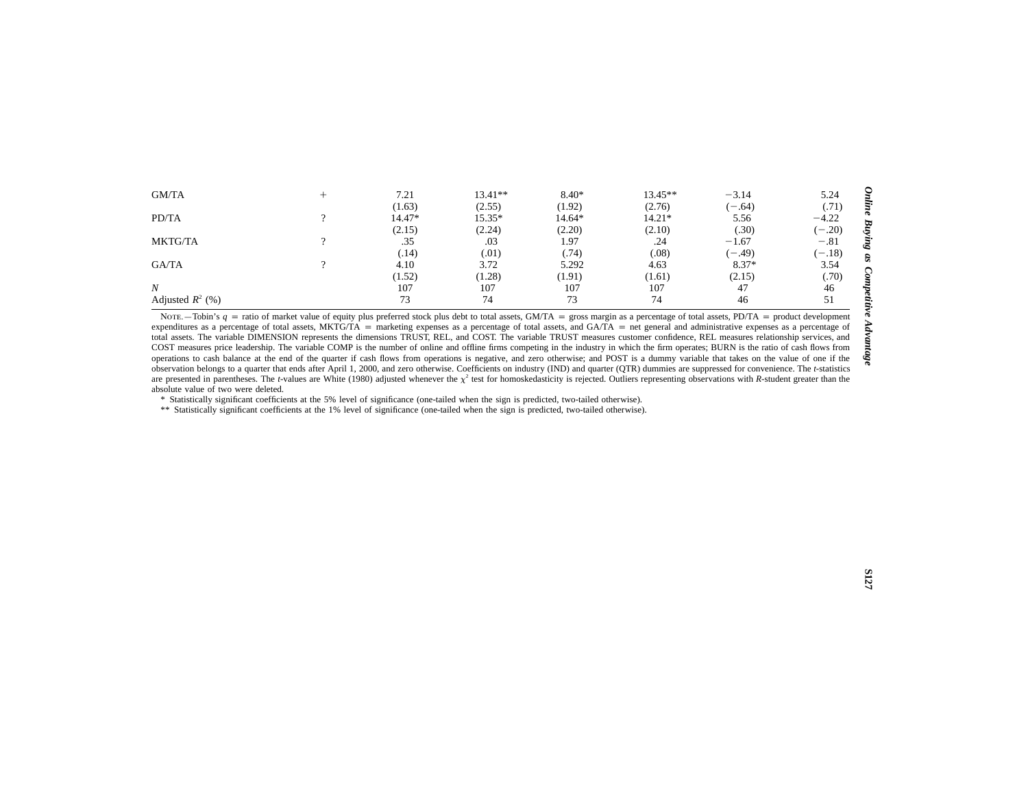| GM/TA                                                                                                                                                                                                                                                                                                                                                                                                                                                                                                                                                                                                                                                                                                                                                                                                                                                                                                                                                                                                                                                                                                                                                                                                                                                                                                            | $^{+}$                   | 7.21   | 13.41** | $8.40*$ | $13.45**$ | $-3.14$  | <b>Online</b><br>5.24 |
|------------------------------------------------------------------------------------------------------------------------------------------------------------------------------------------------------------------------------------------------------------------------------------------------------------------------------------------------------------------------------------------------------------------------------------------------------------------------------------------------------------------------------------------------------------------------------------------------------------------------------------------------------------------------------------------------------------------------------------------------------------------------------------------------------------------------------------------------------------------------------------------------------------------------------------------------------------------------------------------------------------------------------------------------------------------------------------------------------------------------------------------------------------------------------------------------------------------------------------------------------------------------------------------------------------------|--------------------------|--------|---------|---------|-----------|----------|-----------------------|
|                                                                                                                                                                                                                                                                                                                                                                                                                                                                                                                                                                                                                                                                                                                                                                                                                                                                                                                                                                                                                                                                                                                                                                                                                                                                                                                  |                          | (1.63) | (2.55)  | (1.92)  | (2.76)    | $(-.64)$ | (.71)                 |
| PD/TA                                                                                                                                                                                                                                                                                                                                                                                                                                                                                                                                                                                                                                                                                                                                                                                                                                                                                                                                                                                                                                                                                                                                                                                                                                                                                                            | $\overline{?}$           | 14.47* | 15.35*  | 14.64*  | $14.21*$  | 5.56     | $-4.22$               |
|                                                                                                                                                                                                                                                                                                                                                                                                                                                                                                                                                                                                                                                                                                                                                                                                                                                                                                                                                                                                                                                                                                                                                                                                                                                                                                                  |                          | (2.15) | (2.24)  | (2.20)  | (2.10)    | (.30)    | Buying as<br>$(-.20)$ |
| MKTG/TA                                                                                                                                                                                                                                                                                                                                                                                                                                                                                                                                                                                                                                                                                                                                                                                                                                                                                                                                                                                                                                                                                                                                                                                                                                                                                                          | $\overline{\cdot}$       | .35    | .03     | 1.97    | .24       | $-1.67$  | $-.81$                |
|                                                                                                                                                                                                                                                                                                                                                                                                                                                                                                                                                                                                                                                                                                                                                                                                                                                                                                                                                                                                                                                                                                                                                                                                                                                                                                                  |                          | (.14)  | (.01)   | (.74)   | (.08)     | $(-.49)$ | $(-.18)$              |
| GA/TA                                                                                                                                                                                                                                                                                                                                                                                                                                                                                                                                                                                                                                                                                                                                                                                                                                                                                                                                                                                                                                                                                                                                                                                                                                                                                                            | $\overline{\mathcal{L}}$ | 4.10   | 3.72    | 5.292   | 4.63      | 8.37*    | 3.54                  |
|                                                                                                                                                                                                                                                                                                                                                                                                                                                                                                                                                                                                                                                                                                                                                                                                                                                                                                                                                                                                                                                                                                                                                                                                                                                                                                                  |                          | (1.52) | (1.28)  | (1.91)  | (1.61)    | (2.15)   | (.70)                 |
| $\boldsymbol{N}$                                                                                                                                                                                                                                                                                                                                                                                                                                                                                                                                                                                                                                                                                                                                                                                                                                                                                                                                                                                                                                                                                                                                                                                                                                                                                                 |                          | 107    | 107     | 107     | 107       | 47       | 46                    |
| Adjusted $R^2$ (%)                                                                                                                                                                                                                                                                                                                                                                                                                                                                                                                                                                                                                                                                                                                                                                                                                                                                                                                                                                                                                                                                                                                                                                                                                                                                                               |                          | 73     | 74      | 73      | 74        | 46       | Competitive<br>51     |
| total assets. The variable DIMENSION represents the dimensions TRUST, REL, and COST. The variable TRUST measures customer confidence, REL measures relationship services, and<br>COST measures price leadership. The variable COMP is the number of online and offline firms competing in the industry in which the firm operates; BURN is the ratio of cash flows from<br>operations to cash balance at the end of the quarter if cash flows from operations is negative, and zero otherwise; and POST is a dummy variable that takes on the value of one if the<br>observation belongs to a quarter that ends after April 1, 2000, and zero otherwise. Coefficients on industry (IND) and quarter (QTR) dummies are suppressed for convenience. The t-statistics<br>are presented in parentheses. The <i>t</i> -values are White (1980) adjusted whenever the $\chi^2$ test for homoskedasticity is rejected. Outliers representing observations with R-student greater than the<br>absolute value of two were deleted.<br>* Statistically significant coefficients at the 5% level of significance (one-tailed when the sign is predicted, two-tailed otherwise).<br>** Statistically significant coefficients at the 1% level of significance (one-tailed when the sign is predicted, two-tailed otherwise). |                          |        |         |         |           |          | Advantage             |
|                                                                                                                                                                                                                                                                                                                                                                                                                                                                                                                                                                                                                                                                                                                                                                                                                                                                                                                                                                                                                                                                                                                                                                                                                                                                                                                  |                          |        |         |         |           |          | S12                   |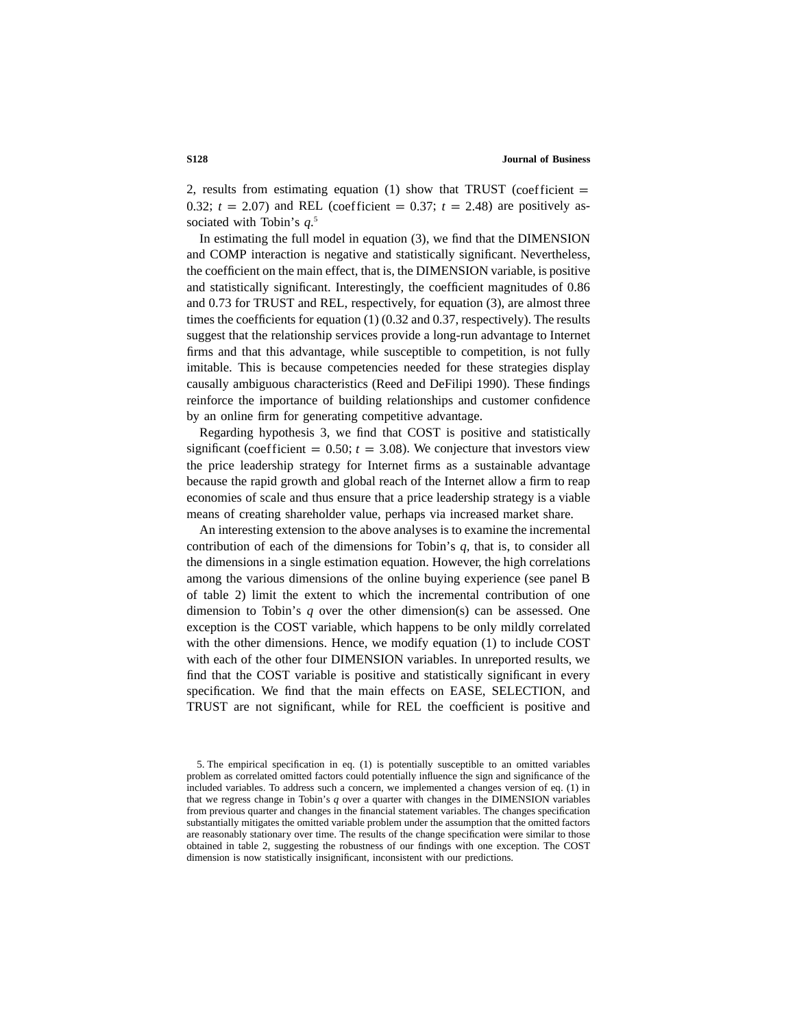2, results from estimating equation (1) show that TRUST (coefficient  $=$ 0.32;  $t = 2.07$ ) and REL (coefficient = 0.37;  $t = 2.48$ ) are positively associated with Tobin's *q*. 5

In estimating the full model in equation (3), we find that the DIMENSION and COMP interaction is negative and statistically significant. Nevertheless, the coefficient on the main effect, that is, the DIMENSION variable, is positive and statistically significant. Interestingly, the coefficient magnitudes of 0.86 and 0.73 for TRUST and REL, respectively, for equation (3), are almost three times the coefficients for equation (1) (0.32 and 0.37, respectively). The results suggest that the relationship services provide a long-run advantage to Internet firms and that this advantage, while susceptible to competition, is not fully imitable. This is because competencies needed for these strategies display causally ambiguous characteristics (Reed and DeFilipi 1990). These findings reinforce the importance of building relationships and customer confidence by an online firm for generating competitive advantage.

Regarding hypothesis 3, we find that COST is positive and statistically significant (coefficient =  $0.50$ ;  $t = 3.08$ ). We conjecture that investors view the price leadership strategy for Internet firms as a sustainable advantage because the rapid growth and global reach of the Internet allow a firm to reap economies of scale and thus ensure that a price leadership strategy is a viable means of creating shareholder value, perhaps via increased market share.

An interesting extension to the above analyses is to examine the incremental contribution of each of the dimensions for Tobin's *q,* that is, to consider all the dimensions in a single estimation equation. However, the high correlations among the various dimensions of the online buying experience (see panel B of table 2) limit the extent to which the incremental contribution of one dimension to Tobin's *q* over the other dimension(s) can be assessed. One exception is the COST variable, which happens to be only mildly correlated with the other dimensions. Hence, we modify equation (1) to include COST with each of the other four DIMENSION variables. In unreported results, we find that the COST variable is positive and statistically significant in every specification. We find that the main effects on EASE, SELECTION, and TRUST are not significant, while for REL the coefficient is positive and

<sup>5.</sup> The empirical specification in eq. (1) is potentially susceptible to an omitted variables problem as correlated omitted factors could potentially influence the sign and significance of the included variables. To address such a concern, we implemented a changes version of eq. (1) in that we regress change in Tobin's *q* over a quarter with changes in the DIMENSION variables from previous quarter and changes in the financial statement variables. The changes specification substantially mitigates the omitted variable problem under the assumption that the omitted factors are reasonably stationary over time. The results of the change specification were similar to those obtained in table 2, suggesting the robustness of our findings with one exception. The COST dimension is now statistically insignificant, inconsistent with our predictions.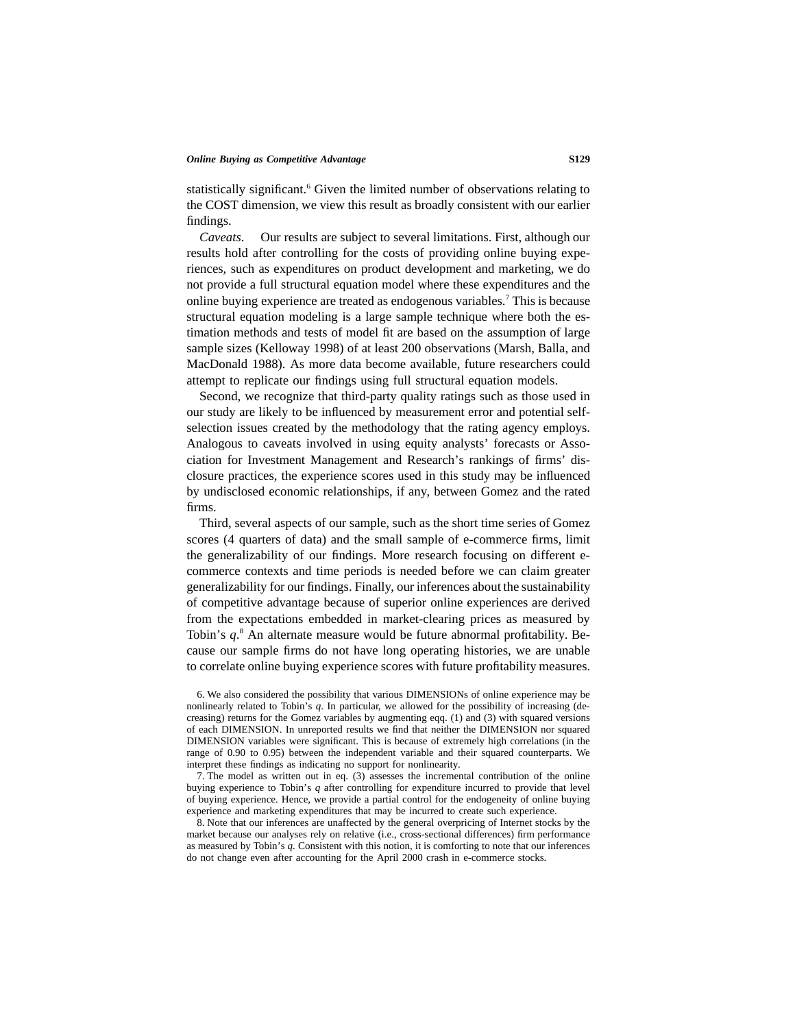# *Online Buying as Competitive Advantage* **S129**

statistically significant.<sup>6</sup> Given the limited number of observations relating to the COST dimension, we view this result as broadly consistent with our earlier findings.

*Caveats*. Our results are subject to several limitations. First, although our results hold after controlling for the costs of providing online buying experiences, such as expenditures on product development and marketing, we do not provide a full structural equation model where these expenditures and the online buying experience are treated as endogenous variables.7 This is because structural equation modeling is a large sample technique where both the estimation methods and tests of model fit are based on the assumption of large sample sizes (Kelloway 1998) of at least 200 observations (Marsh, Balla, and MacDonald 1988). As more data become available, future researchers could attempt to replicate our findings using full structural equation models.

Second, we recognize that third-party quality ratings such as those used in our study are likely to be influenced by measurement error and potential selfselection issues created by the methodology that the rating agency employs. Analogous to caveats involved in using equity analysts' forecasts or Association for Investment Management and Research's rankings of firms' disclosure practices, the experience scores used in this study may be influenced by undisclosed economic relationships, if any, between Gomez and the rated firms.

Third, several aspects of our sample, such as the short time series of Gomez scores (4 quarters of data) and the small sample of e-commerce firms, limit the generalizability of our findings. More research focusing on different ecommerce contexts and time periods is needed before we can claim greater generalizability for our findings. Finally, our inferences about the sustainability of competitive advantage because of superior online experiences are derived from the expectations embedded in market-clearing prices as measured by Tobin's *q*. <sup>8</sup> An alternate measure would be future abnormal profitability. Because our sample firms do not have long operating histories, we are unable to correlate online buying experience scores with future profitability measures.

6. We also considered the possibility that various DIMENSIONs of online experience may be nonlinearly related to Tobin's *q*. In particular, we allowed for the possibility of increasing (decreasing) returns for the Gomez variables by augmenting eqq. (1) and (3) with squared versions of each DIMENSION. In unreported results we find that neither the DIMENSION nor squared DIMENSION variables were significant. This is because of extremely high correlations (in the range of 0.90 to 0.95) between the independent variable and their squared counterparts. We interpret these findings as indicating no support for nonlinearity.

7. The model as written out in eq. (3) assesses the incremental contribution of the online buying experience to Tobin's *q* after controlling for expenditure incurred to provide that level of buying experience. Hence, we provide a partial control for the endogeneity of online buying experience and marketing expenditures that may be incurred to create such experience.

8. Note that our inferences are unaffected by the general overpricing of Internet stocks by the market because our analyses rely on relative (i.e., cross-sectional differences) firm performance as measured by Tobin's *q*. Consistent with this notion, it is comforting to note that our inferences do not change even after accounting for the April 2000 crash in e-commerce stocks.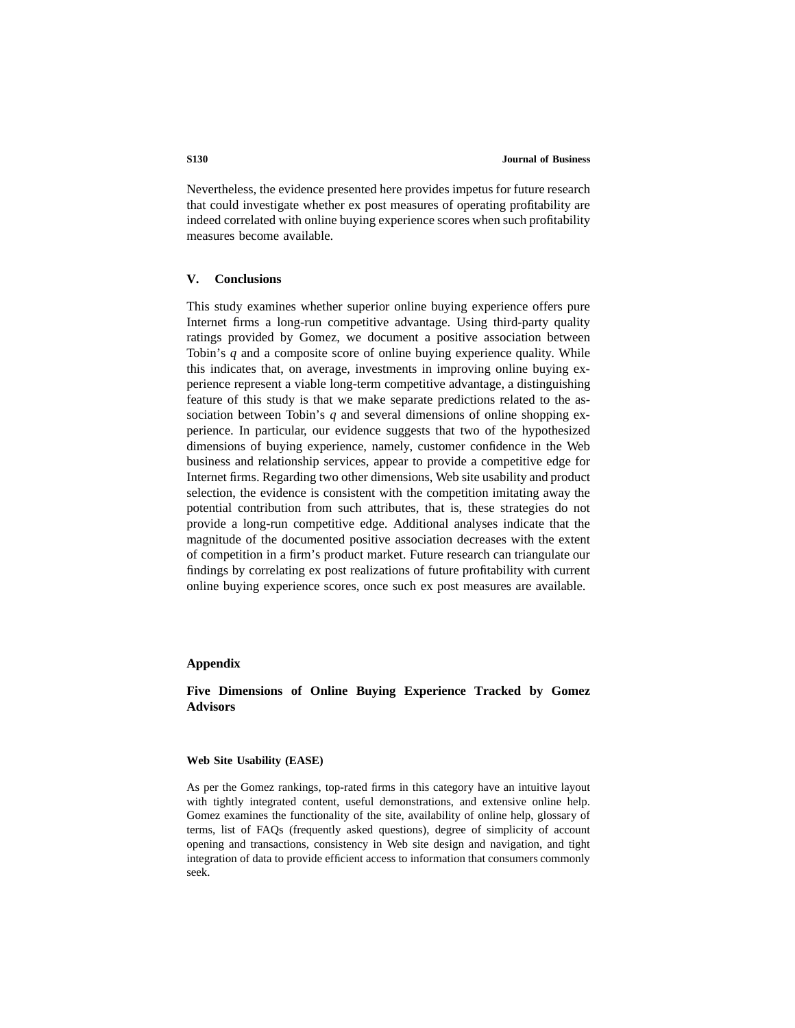Nevertheless, the evidence presented here provides impetus for future research that could investigate whether ex post measures of operating profitability are indeed correlated with online buying experience scores when such profitability measures become available.

# **V. Conclusions**

This study examines whether superior online buying experience offers pure Internet firms a long-run competitive advantage. Using third-party quality ratings provided by Gomez, we document a positive association between Tobin's *q* and a composite score of online buying experience quality. While this indicates that, on average, investments in improving online buying experience represent a viable long-term competitive advantage, a distinguishing feature of this study is that we make separate predictions related to the association between Tobin's *q* and several dimensions of online shopping experience. In particular, our evidence suggests that two of the hypothesized dimensions of buying experience, namely, customer confidence in the Web business and relationship services, appear to provide a competitive edge for Internet firms. Regarding two other dimensions, Web site usability and product selection, the evidence is consistent with the competition imitating away the potential contribution from such attributes, that is, these strategies do not provide a long-run competitive edge. Additional analyses indicate that the magnitude of the documented positive association decreases with the extent of competition in a firm's product market. Future research can triangulate our findings by correlating ex post realizations of future profitability with current online buying experience scores, once such ex post measures are available.

# **Appendix**

# **Five Dimensions of Online Buying Experience Tracked by Gomez Advisors**

#### **Web Site Usability (EASE)**

As per the Gomez rankings, top-rated firms in this category have an intuitive layout with tightly integrated content, useful demonstrations, and extensive online help. Gomez examines the functionality of the site, availability of online help, glossary of terms, list of FAQs (frequently asked questions), degree of simplicity of account opening and transactions, consistency in Web site design and navigation, and tight integration of data to provide efficient access to information that consumers commonly seek.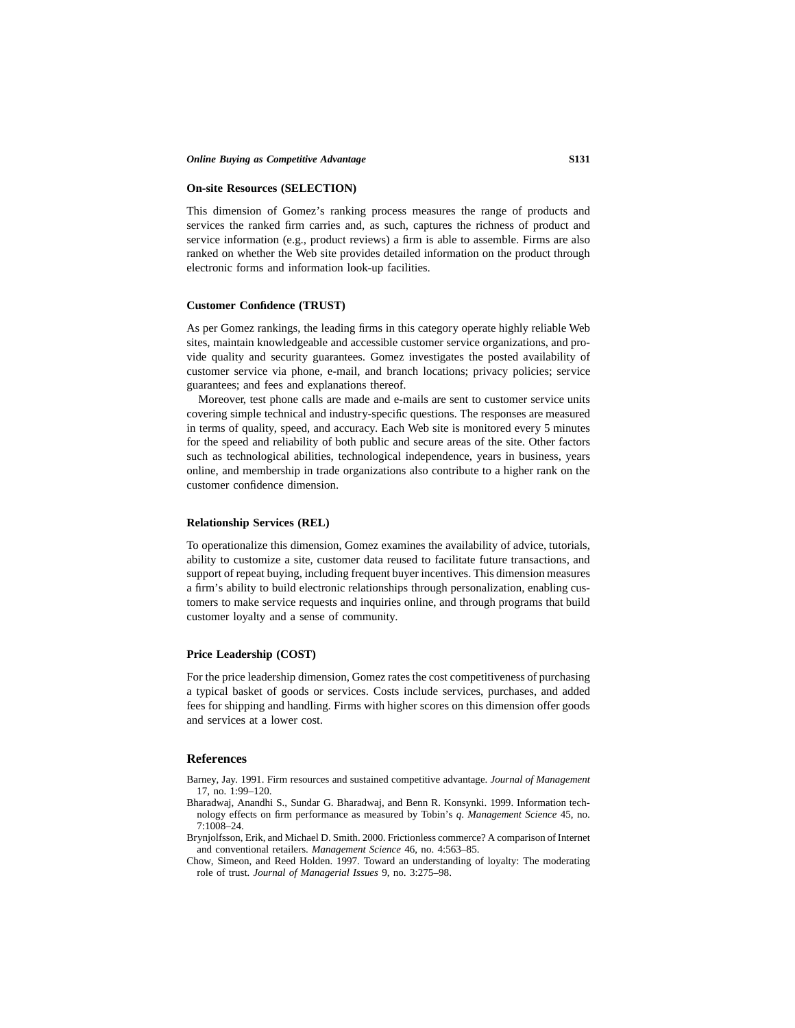# *Online Buying as Competitive Advantage* **S131**

#### **On-site Resources (SELECTION)**

This dimension of Gomez's ranking process measures the range of products and services the ranked firm carries and, as such, captures the richness of product and service information (e.g., product reviews) a firm is able to assemble. Firms are also ranked on whether the Web site provides detailed information on the product through electronic forms and information look-up facilities.

# **Customer Confidence (TRUST)**

As per Gomez rankings, the leading firms in this category operate highly reliable Web sites, maintain knowledgeable and accessible customer service organizations, and provide quality and security guarantees. Gomez investigates the posted availability of customer service via phone, e-mail, and branch locations; privacy policies; service guarantees; and fees and explanations thereof.

Moreover, test phone calls are made and e-mails are sent to customer service units covering simple technical and industry-specific questions. The responses are measured in terms of quality, speed, and accuracy. Each Web site is monitored every 5 minutes for the speed and reliability of both public and secure areas of the site. Other factors such as technological abilities, technological independence, years in business, years online, and membership in trade organizations also contribute to a higher rank on the customer confidence dimension.

#### **Relationship Services (REL)**

To operationalize this dimension, Gomez examines the availability of advice, tutorials, ability to customize a site, customer data reused to facilitate future transactions, and support of repeat buying, including frequent buyer incentives. This dimension measures a firm's ability to build electronic relationships through personalization, enabling customers to make service requests and inquiries online, and through programs that build customer loyalty and a sense of community.

#### **Price Leadership (COST)**

For the price leadership dimension, Gomez rates the cost competitiveness of purchasing a typical basket of goods or services. Costs include services, purchases, and added fees for shipping and handling. Firms with higher scores on this dimension offer goods and services at a lower cost.

#### **References**

- Barney, Jay. 1991. Firm resources and sustained competitive advantage. *Journal of Management* 17, no. 1:99–120.
- Bharadwaj, Anandhi S., Sundar G. Bharadwaj, and Benn R. Konsynki. 1999. Information technology effects on firm performance as measured by Tobin's *q*. *Management Science* 45, no. 7:1008–24.
- Brynjolfsson, Erik, and Michael D. Smith. 2000. Frictionless commerce? A comparison of Internet and conventional retailers. *Management Science* 46, no. 4:563–85.
- Chow, Simeon, and Reed Holden. 1997. Toward an understanding of loyalty: The moderating role of trust. *Journal of Managerial Issues* 9, no. 3:275–98.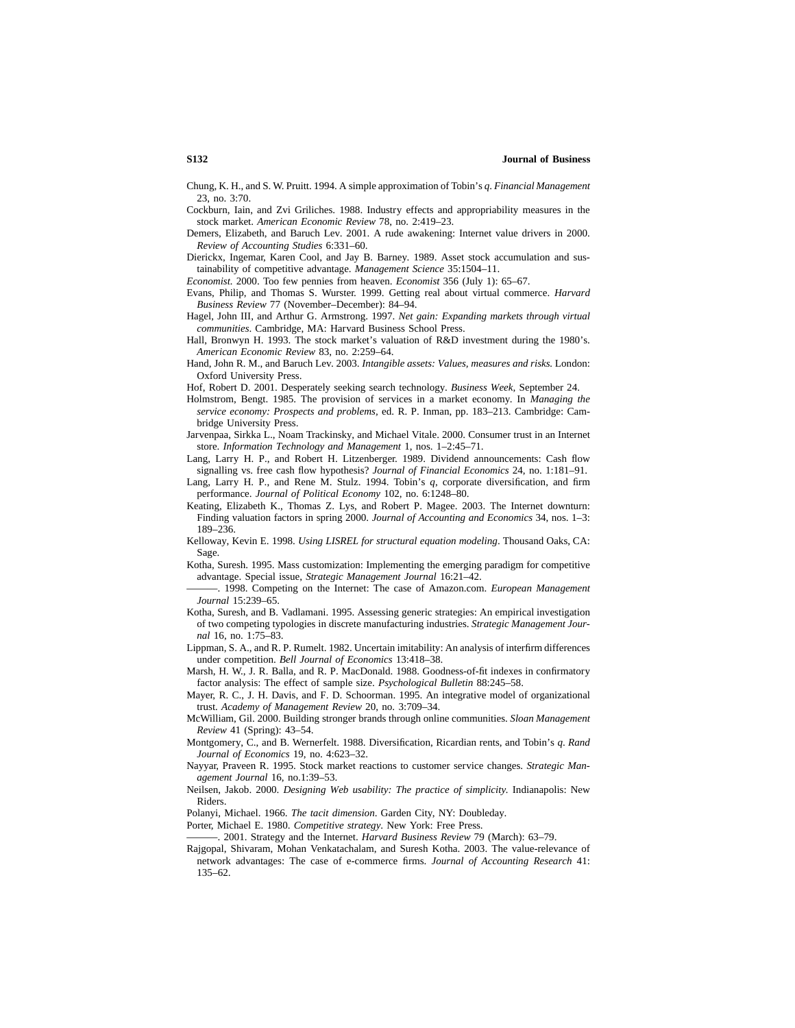Chung, K. H., and S. W. Pruitt. 1994. A simple approximation of Tobin's *q*. *Financial Management* 23, no. 3:70.

Cockburn, Iain, and Zvi Griliches. 1988. Industry effects and appropriability measures in the stock market. *American Economic Review* 78, no. 2:419–23.

Demers, Elizabeth, and Baruch Lev. 2001. A rude awakening: Internet value drivers in 2000. *Review of Accounting Studies* 6:331–60.

Dierickx, Ingemar, Karen Cool, and Jay B. Barney. 1989. Asset stock accumulation and sustainability of competitive advantage. *Management Science* 35:1504–11.

*Economist.* 2000. Too few pennies from heaven. *Economist* 356 (July 1): 65–67.

- Evans, Philip, and Thomas S. Wurster. 1999. Getting real about virtual commerce. *Harvard Business Review* 77 (November–December): 84–94.
- Hagel, John III, and Arthur G. Armstrong. 1997. *Net gain: Expanding markets through virtual communities*. Cambridge, MA: Harvard Business School Press.
- Hall, Bronwyn H. 1993. The stock market's valuation of R&D investment during the 1980's. *American Economic Review* 83, no. 2:259–64.
- Hand, John R. M., and Baruch Lev. 2003. *Intangible assets: Values, measures and risks.* London: Oxford University Press.

Hof, Robert D. 2001. Desperately seeking search technology. *Business Week,* September 24.

Holmstrom, Bengt. 1985. The provision of services in a market economy. In *Managing the service economy: Prospects and problems,* ed. R. P. Inman, pp. 183–213. Cambridge: Cambridge University Press.

Jarvenpaa, Sirkka L., Noam Trackinsky, and Michael Vitale. 2000. Consumer trust in an Internet store. *Information Technology and Management* 1, nos. 1–2:45–71.

Lang, Larry H. P., and Robert H. Litzenberger. 1989. Dividend announcements: Cash flow signalling vs. free cash flow hypothesis? *Journal of Financial Economics* 24, no. 1:181–91.

- Lang, Larry H. P., and Rene M. Stulz. 1994. Tobin's *q*, corporate diversification, and firm performance. *Journal of Political Economy* 102, no. 6:1248–80.
- Keating, Elizabeth K., Thomas Z. Lys, and Robert P. Magee. 2003. The Internet downturn: Finding valuation factors in spring 2000. *Journal of Accounting and Economics* 34, nos. 1–3: 189–236.
- Kelloway, Kevin E. 1998. *Using LISREL for structural equation modeling*. Thousand Oaks, CA: Sage.
- Kotha, Suresh. 1995. Mass customization: Implementing the emerging paradigm for competitive advantage. Special issue, *Strategic Management Journal* 16:21–42.

———. 1998. Competing on the Internet: The case of Amazon.com. *European Management Journal* 15:239–65.

- Kotha, Suresh, and B. Vadlamani. 1995. Assessing generic strategies: An empirical investigation of two competing typologies in discrete manufacturing industries. *Strategic Management Journal* 16, no. 1:75–83.
- Lippman, S. A., and R. P. Rumelt. 1982. Uncertain imitability: An analysis of interfirm differences under competition. *Bell Journal of Economics* 13:418–38.
- Marsh, H. W., J. R. Balla, and R. P. MacDonald. 1988. Goodness-of-fit indexes in confirmatory factor analysis: The effect of sample size. *Psychological Bulletin* 88:245–58.
- Mayer, R. C., J. H. Davis, and F. D. Schoorman. 1995. An integrative model of organizational trust. *Academy of Management Review* 20, no. 3:709–34.
- McWilliam, Gil. 2000. Building stronger brands through online communities. *Sloan Management Review* 41 (Spring): 43–54.
- Montgomery, C., and B. Wernerfelt. 1988. Diversification, Ricardian rents, and Tobin's *q*. *Rand Journal of Economics* 19, no. 4:623–32.
- Nayyar, Praveen R. 1995. Stock market reactions to customer service changes. *Strategic Management Journal* 16, no.1:39–53.
- Neilsen, Jakob. 2000. *Designing Web usability: The practice of simplicity.* Indianapolis: New Riders.
- Polanyi, Michael. 1966. *The tacit dimension*. Garden City, NY: Doubleday.
- Porter, Michael E. 1980. *Competitive strategy*. New York: Free Press.
- ———. 2001. Strategy and the Internet. *Harvard Business Review* 79 (March): 63–79.
- Rajgopal, Shivaram, Mohan Venkatachalam, and Suresh Kotha. 2003. The value-relevance of network advantages: The case of e-commerce firms. *Journal of Accounting Research* 41: 135–62.